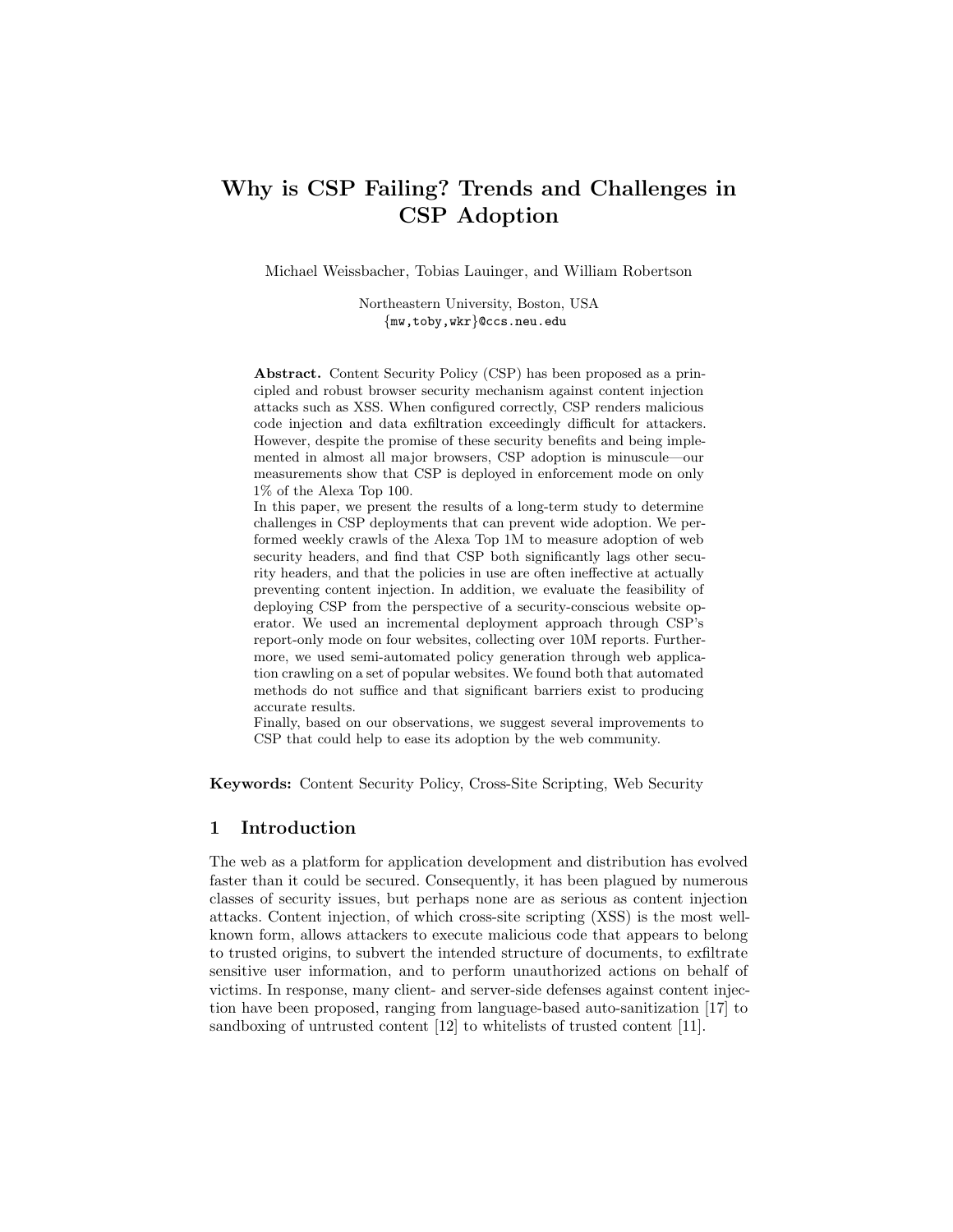# **Why is CSP Failing? Trends and Challenges in CSP Adoption**

Michael Weissbacher, Tobias Lauinger, and William Robertson

Northeastern University, Boston, USA *{*mw,toby,wkr*}*@ccs.neu.edu

**Abstract.** Content Security Policy (CSP) has been proposed as a principled and robust browser security mechanism against content injection attacks such as XSS. When configured correctly, CSP renders malicious code injection and data exfiltration exceedingly difficult for attackers. However, despite the promise of these security benefits and being implemented in almost all major browsers, CSP adoption is minuscule—our measurements show that CSP is deployed in enforcement mode on only 1% of the Alexa Top 100.

In this paper, we present the results of a long-term study to determine challenges in CSP deployments that can prevent wide adoption. We performed weekly crawls of the Alexa Top 1M to measure adoption of web security headers, and find that CSP both significantly lags other security headers, and that the policies in use are often ineffective at actually preventing content injection. In addition, we evaluate the feasibility of deploying CSP from the perspective of a security-conscious website operator. We used an incremental deployment approach through CSP's report-only mode on four websites, collecting over 10M reports. Furthermore, we used semi-automated policy generation through web application crawling on a set of popular websites. We found both that automated methods do not suffice and that significant barriers exist to producing accurate results.

Finally, based on our observations, we suggest several improvements to CSP that could help to ease its adoption by the web community.

**Keywords:** Content Security Policy, Cross-Site Scripting, Web Security

# **1 Introduction**

The web as a platform for application development and distribution has evolved faster than it could be secured. Consequently, it has been plagued by numerous classes of security issues, but perhaps none are as serious as content injection attacks. Content injection, of which cross-site scripting (XSS) is the most wellknown form, allows attackers to execute malicious code that appears to belong to trusted origins, to subvert the intended structure of documents, to exfiltrate sensitive user information, and to perform unauthorized actions on behalf of victims. In response, many client- and server-side defenses against content injection have been proposed, ranging from language-based auto-sanitization [[17\]](#page-21-0) to sandboxing of untrusted content [[12\]](#page-21-1) to whitelists of trusted content [\[11](#page-21-2)].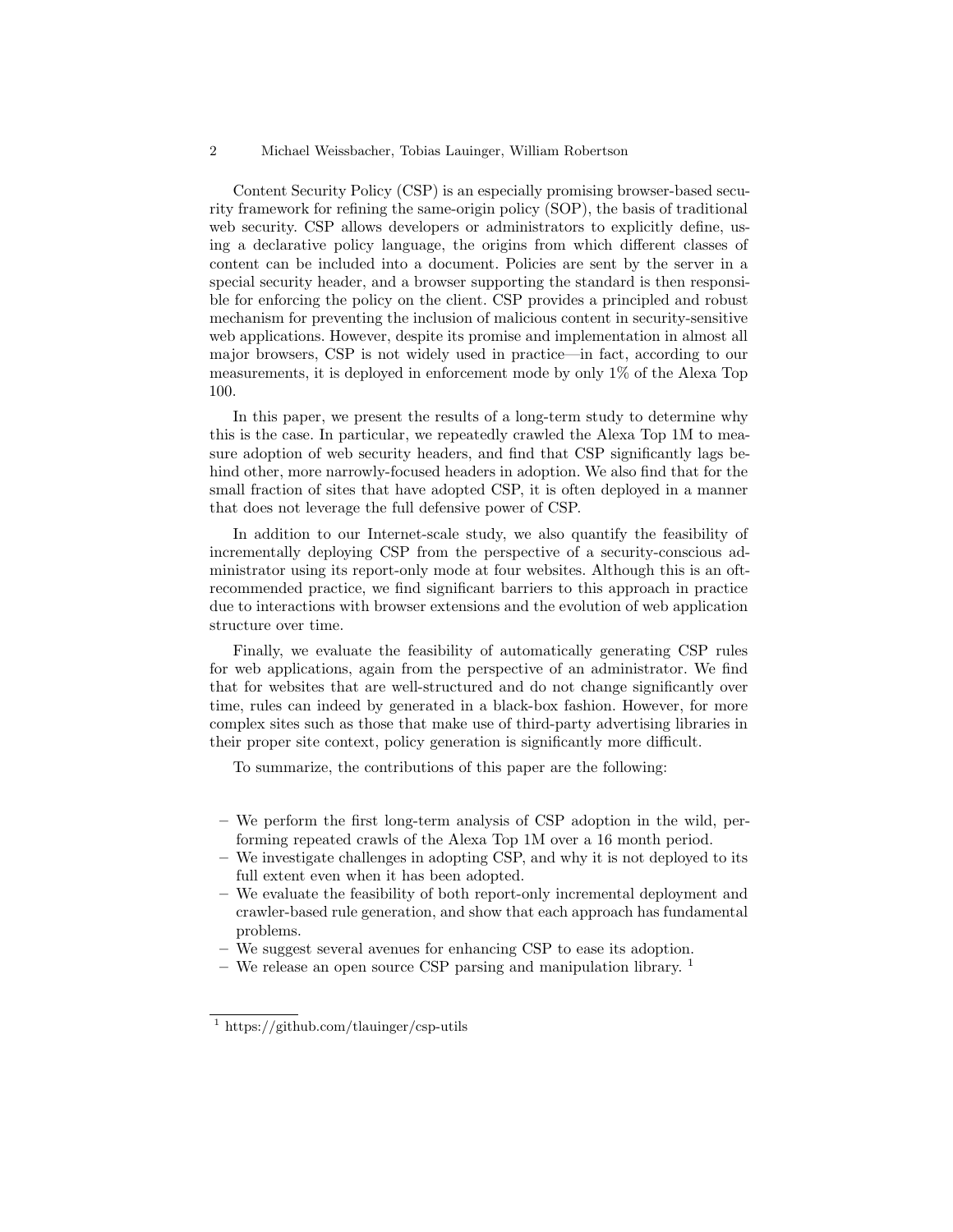Content Security Policy (CSP) is an especially promising browser-based security framework for refining the same-origin policy (SOP), the basis of traditional web security. CSP allows developers or administrators to explicitly define, using a declarative policy language, the origins from which different classes of content can be included into a document. Policies are sent by the server in a special security header, and a browser supporting the standard is then responsible for enforcing the policy on the client. CSP provides a principled and robust mechanism for preventing the inclusion of malicious content in security-sensitive web applications. However, despite its promise and implementation in almost all major browsers, CSP is not widely used in practice—in fact, according to our measurements, it is deployed in enforcement mode by only 1% of the Alexa Top 100.

In this paper, we present the results of a long-term study to determine why this is the case. In particular, we repeatedly crawled the Alexa Top 1M to measure adoption of web security headers, and find that CSP significantly lags behind other, more narrowly-focused headers in adoption. We also find that for the small fraction of sites that have adopted CSP, it is often deployed in a manner that does not leverage the full defensive power of CSP.

In addition to our Internet-scale study, we also quantify the feasibility of incrementally deploying CSP from the perspective of a security-conscious administrator using its report-only mode at four websites. Although this is an oftrecommended practice, we find significant barriers to this approach in practice due to interactions with browser extensions and the evolution of web application structure over time.

Finally, we evaluate the feasibility of automatically generating CSP rules for web applications, again from the perspective of an administrator. We find that for websites that are well-structured and do not change significantly over time, rules can indeed by generated in a black-box fashion. However, for more complex sites such as those that make use of third-party advertising libraries in their proper site context, policy generation is significantly more difficult.

To summarize, the contributions of this paper are the following:

- **–** We perform the first long-term analysis of CSP adoption in the wild, performing repeated crawls of the Alexa Top 1M over a 16 month period.
- **–** We investigate challenges in adopting CSP, and why it is not deployed to its full extent even when it has been adopted.
- **–** We evaluate the feasibility of both report-only incremental deployment and crawler-based rule generation, and show that each approach has fundamental problems.
- **–** We suggest several avenues for enhancing CSP to ease its adoption.
- **–** We release an open source CSP parsing and manipulation library. [1](#page-1-0)

<span id="page-1-0"></span><sup>&</sup>lt;sup>1</sup> https://github.com/tlauinger/csp-utils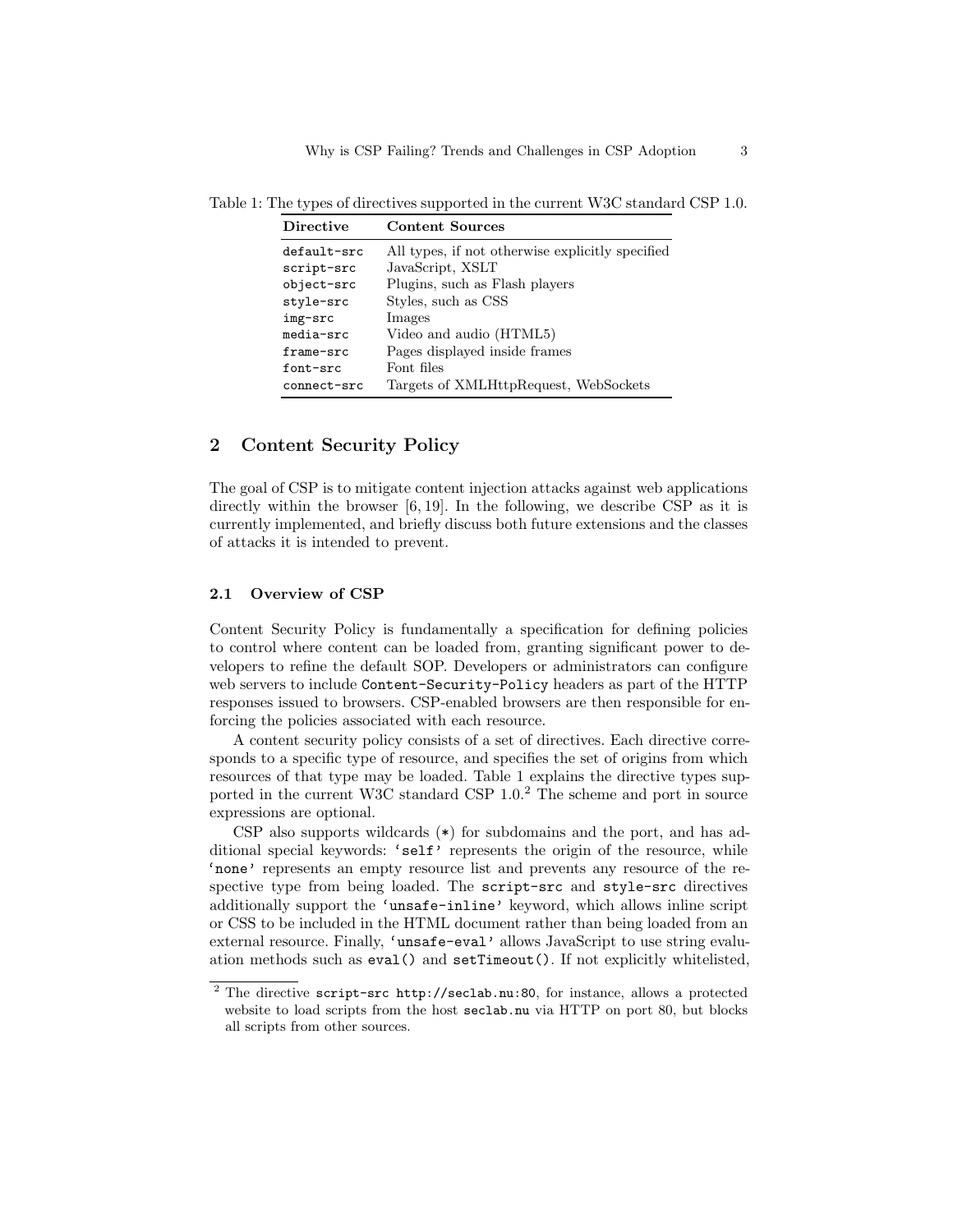| Directive      | <b>Content Sources</b>                           |
|----------------|--------------------------------------------------|
| $defallt-src$  | All types, if not otherwise explicitly specified |
| script-src     | JavaScript, XSLT                                 |
| object-src     | Plugins, such as Flash players                   |
| style-src      | Styles, such as CSS                              |
| img-src        | Images                                           |
| media-src      | Video and audio (HTML5)                          |
| frame-src      | Pages displayed inside frames                    |
| font-src       | Font files                                       |
| $connect\_src$ | Targets of XMLHttpRequest, WebSockets            |

<span id="page-2-0"></span>Table 1: The types of directives supported in the current W3C standard CSP 1.0.

# **2 Content Security Policy**

The goal of CSP is to mitigate content injection attacks against web applications directly within the browser [[6](#page-21-3), [19\]](#page-21-4). In the following, we describe CSP as it is currently implemented, and briefly discuss both future extensions and the classes of attacks it is intended to prevent.

## **2.1 Overview of CSP**

Content Security Policy is fundamentally a specification for defining policies to control where content can be loaded from, granting significant power to developers to refine the default SOP. Developers or administrators can configure web servers to include Content-Security-Policy headers as part of the HTTP responses issued to browsers. CSP-enabled browsers are then responsible for enforcing the policies associated with each resource.

A content security policy consists of a set of directives. Each directive corresponds to a specific type of resource, and specifies the set of origins from which resources of that type may be loaded. Table [1](#page-2-0) explains the directive types sup-ported in the current W3C standard CSP 1.0.<sup>[2](#page-2-1)</sup> The scheme and port in source expressions are optional.

CSP also supports wildcards (\*) for subdomains and the port, and has additional special keywords: 'self' represents the origin of the resource, while 'none' represents an empty resource list and prevents any resource of the respective type from being loaded. The script-src and style-src directives additionally support the 'unsafe-inline' keyword, which allows inline script or CSS to be included in the HTML document rather than being loaded from an external resource. Finally, 'unsafe-eval' allows JavaScript to use string evaluation methods such as eval() and setTimeout(). If not explicitly whitelisted,

<span id="page-2-1"></span><sup>2</sup> The directive script-src http://seclab.nu:80, for instance, allows a protected website to load scripts from the host seclab.nu via HTTP on port 80, but blocks all scripts from other sources.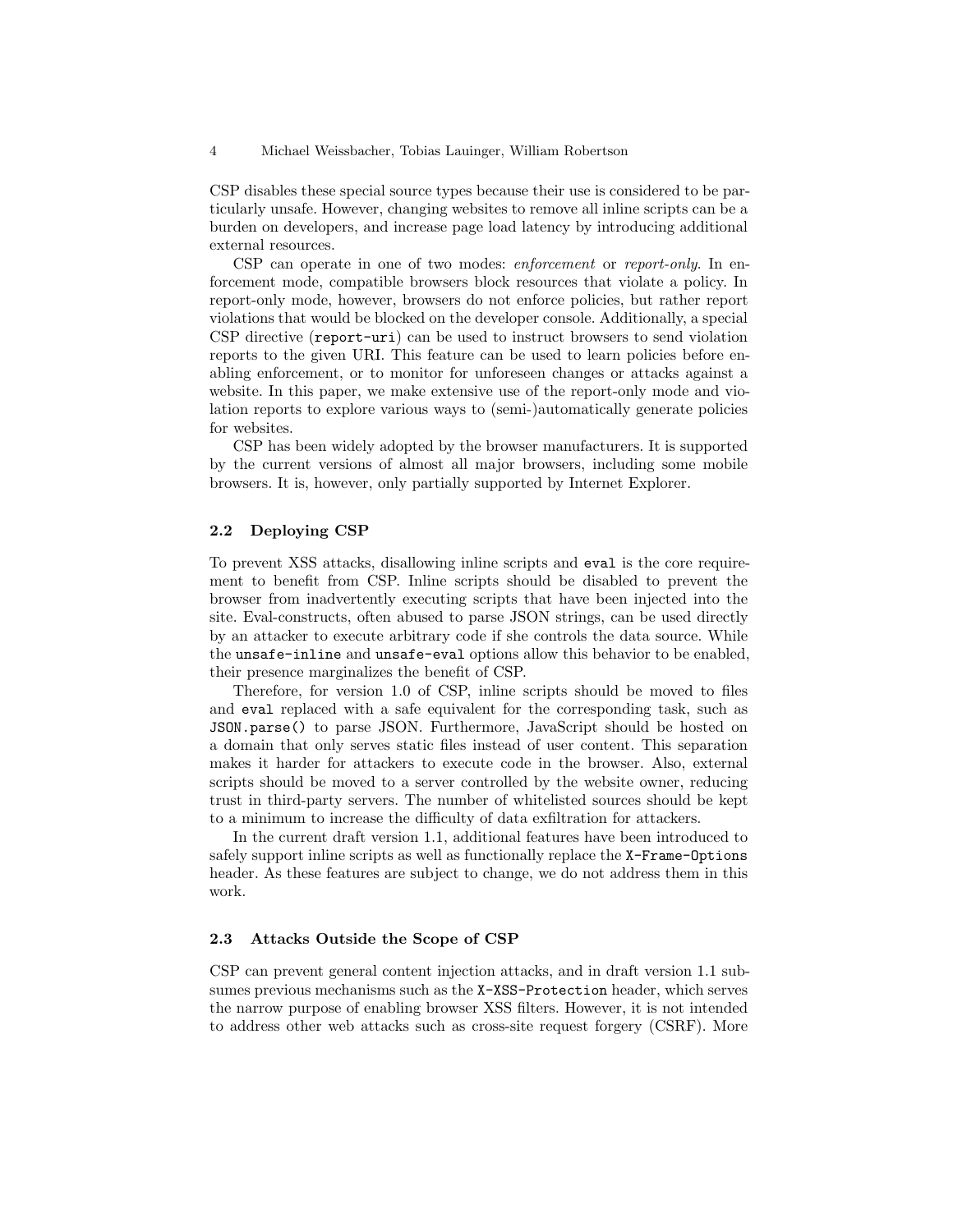CSP disables these special source types because their use is considered to be particularly unsafe. However, changing websites to remove all inline scripts can be a burden on developers, and increase page load latency by introducing additional external resources.

CSP can operate in one of two modes: *enforcement* or *report-only*. In enforcement mode, compatible browsers block resources that violate a policy. In report-only mode, however, browsers do not enforce policies, but rather report violations that would be blocked on the developer console. Additionally, a special CSP directive (report-uri) can be used to instruct browsers to send violation reports to the given URI. This feature can be used to learn policies before enabling enforcement, or to monitor for unforeseen changes or attacks against a website. In this paper, we make extensive use of the report-only mode and violation reports to explore various ways to (semi-)automatically generate policies for websites.

CSP has been widely adopted by the browser manufacturers. It is supported by the current versions of almost all major browsers, including some mobile browsers. It is, however, only partially supported by Internet Explorer.

### <span id="page-3-0"></span>**2.2 Deploying CSP**

To prevent XSS attacks, disallowing inline scripts and eval is the core requirement to benefit from CSP. Inline scripts should be disabled to prevent the browser from inadvertently executing scripts that have been injected into the site. Eval-constructs, often abused to parse JSON strings, can be used directly by an attacker to execute arbitrary code if she controls the data source. While the unsafe-inline and unsafe-eval options allow this behavior to be enabled, their presence marginalizes the benefit of CSP.

Therefore, for version 1.0 of CSP, inline scripts should be moved to files and eval replaced with a safe equivalent for the corresponding task, such as JSON.parse() to parse JSON. Furthermore, JavaScript should be hosted on a domain that only serves static files instead of user content. This separation makes it harder for attackers to execute code in the browser. Also, external scripts should be moved to a server controlled by the website owner, reducing trust in third-party servers. The number of whitelisted sources should be kept to a minimum to increase the difficulty of data exfiltration for attackers.

In the current draft version 1.1, additional features have been introduced to safely support inline scripts as well as functionally replace the X-Frame-Options header. As these features are subject to change, we do not address them in this work.

### **2.3 Attacks Outside the Scope of CSP**

CSP can prevent general content injection attacks, and in draft version 1.1 subsumes previous mechanisms such as the X-XSS-Protection header, which serves the narrow purpose of enabling browser XSS filters. However, it is not intended to address other web attacks such as cross-site request forgery (CSRF). More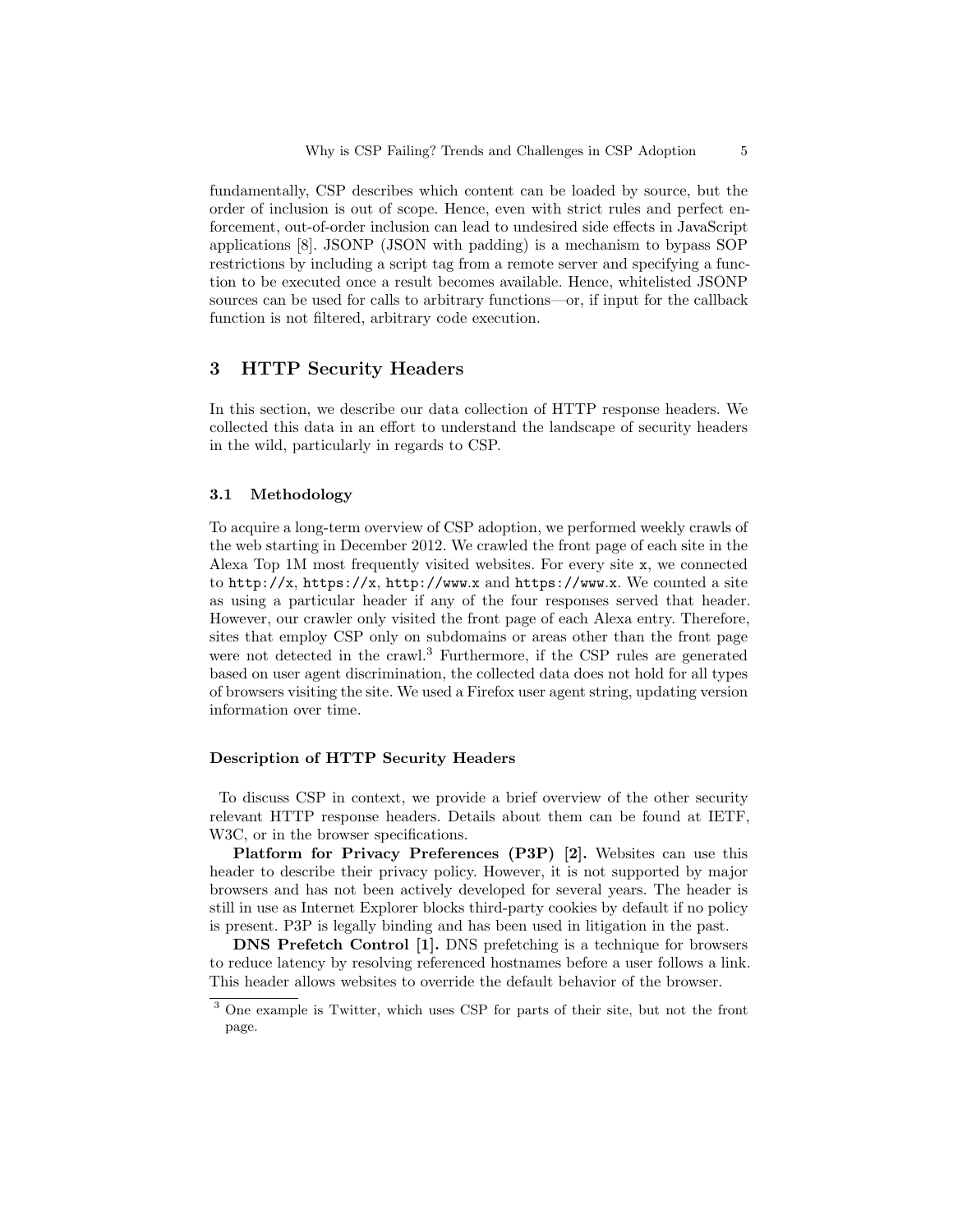fundamentally, CSP describes which content can be loaded by source, but the order of inclusion is out of scope. Hence, even with strict rules and perfect enforcement, out-of-order inclusion can lead to undesired side effects in JavaScript applications [\[8](#page-21-5)]. JSONP (JSON with padding) is a mechanism to bypass SOP restrictions by including a script tag from a remote server and specifying a function to be executed once a result becomes available. Hence, whitelisted JSONP sources can be used for calls to arbitrary functions—or, if input for the callback function is not filtered, arbitrary code execution.

# **3 HTTP Security Headers**

In this section, we describe our data collection of HTTP response headers. We collected this data in an effort to understand the landscape of security headers in the wild, particularly in regards to CSP.

# **3.1 Methodology**

To acquire a long-term overview of CSP adoption, we performed weekly crawls of the web starting in December 2012. We crawled the front page of each site in the Alexa Top 1M most frequently visited websites. For every site x, we connected to <http://x>, <https://x>, [http://www](http://www.x)*.*x and [https://www](https://www.x)*.*x. We counted a site as using a particular header if any of the four responses served that header. However, our crawler only visited the front page of each Alexa entry. Therefore, sites that employ CSP only on subdomains or areas other than the front page were not detected in the crawl.[3](#page-4-0) Furthermore, if the CSP rules are generated based on user agent discrimination, the collected data does not hold for all types of browsers visiting the site. We used a Firefox user agent string, updating version information over time.

# **Description of HTTP Security Headers**

To discuss CSP in context, we provide a brief overview of the other security relevant HTTP response headers. Details about them can be found at IETF, W3C, or in the browser specifications.

**Platform for Privacy Preferences (P3P) [[2](#page-21-6)].** Websites can use this header to describe their privacy policy. However, it is not supported by major browsers and has not been actively developed for several years. The header is still in use as Internet Explorer blocks third-party cookies by default if no policy is present. P3P is legally binding and has been used in litigation in the past.

**DNS Prefetch Control [\[1](#page-20-0)].** DNS prefetching is a technique for browsers to reduce latency by resolving referenced hostnames before a user follows a link. This header allows websites to override the default behavior of the browser.

<span id="page-4-0"></span><sup>3</sup> One example is Twitter, which uses CSP for parts of their site, but not the front page.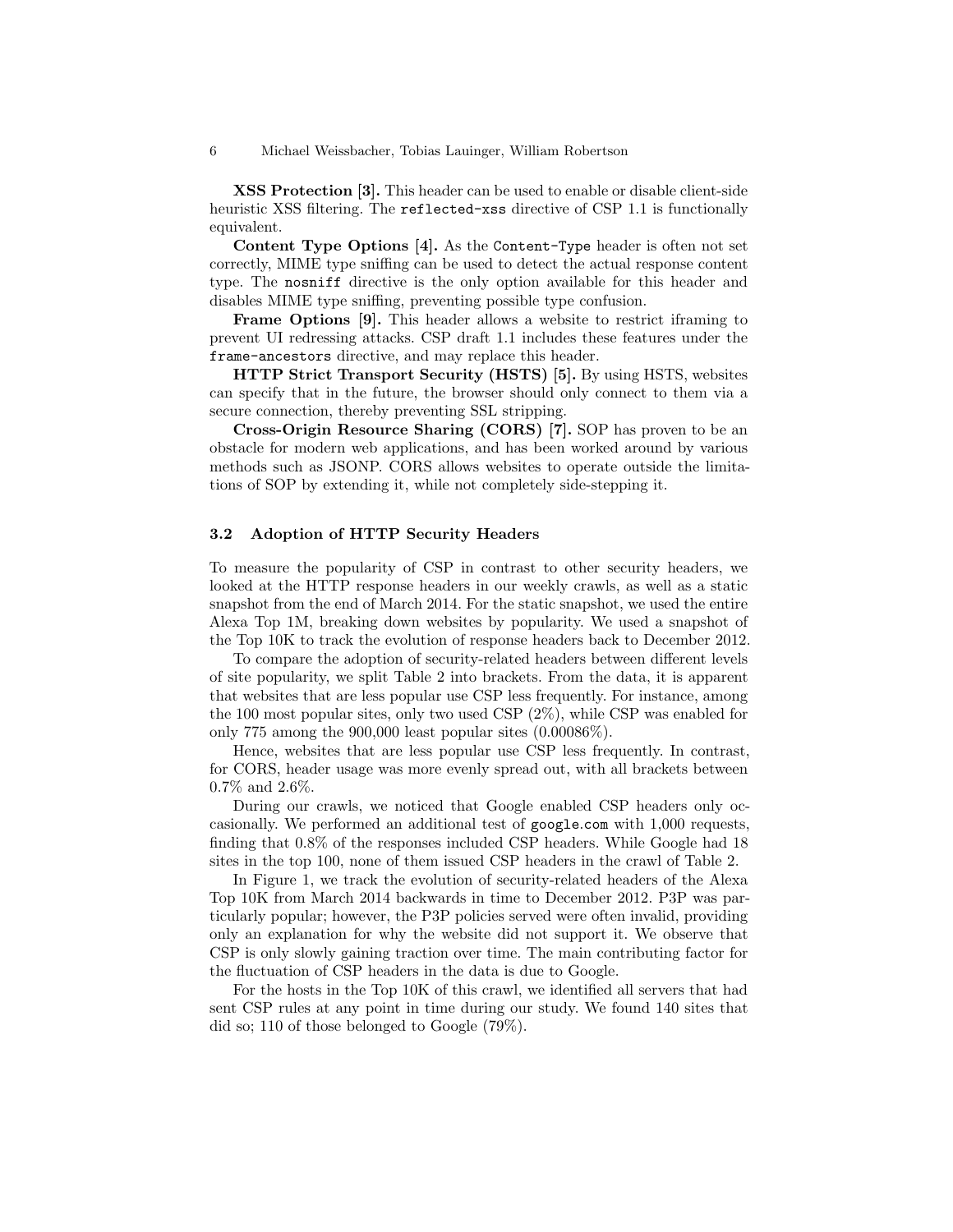**XSS Protection [[3](#page-21-7)].** This header can be used to enable or disable client-side heuristic XSS filtering. The reflected-xss directive of CSP 1.1 is functionally equivalent.

**Content Type Options [[4](#page-21-8)].** As the Content-Type header is often not set correctly, MIME type sniffing can be used to detect the actual response content type. The nosniff directive is the only option available for this header and disables MIME type sniffing, preventing possible type confusion.

**Frame Options [\[9](#page-21-9)].** This header allows a website to restrict iframing to prevent UI redressing attacks. CSP draft 1.1 includes these features under the frame-ancestors directive, and may replace this header.

**HTTP Strict Transport Security (HSTS) [[5](#page-21-10)].** By using HSTS, websites can specify that in the future, the browser should only connect to them via a secure connection, thereby preventing SSL stripping.

**Cross-Origin Resource Sharing (CORS) [[7\]](#page-21-11).** SOP has proven to be an obstacle for modern web applications, and has been worked around by various methods such as JSONP. CORS allows websites to operate outside the limitations of SOP by extending it, while not completely side-stepping it.

### **3.2 Adoption of HTTP Security Headers**

To measure the popularity of CSP in contrast to other security headers, we looked at the HTTP response headers in our weekly crawls, as well as a static snapshot from the end of March 2014. For the static snapshot, we used the entire Alexa Top 1M, breaking down websites by popularity. We used a snapshot of the Top 10K to track the evolution of response headers back to December 2012.

To compare the adoption of security-related headers between different levels of site popularity, we split Table [2](#page-6-0) into brackets. From the data, it is apparent that websites that are less popular use CSP less frequently. For instance, among the 100 most popular sites, only two used CSP (2%), while CSP was enabled for only 775 among the 900,000 least popular sites (0.00086%).

Hence, websites that are less popular use CSP less frequently. In contrast, for CORS, header usage was more evenly spread out, with all brackets between 0.7% and 2.6%.

During our crawls, we noticed that Google enabled CSP headers only occasionally. We performed an additional test of [google](google.com)*.*com with 1,000 requests, finding that 0.8% of the responses included CSP headers. While Google had 18 sites in the top 100, none of them issued CSP headers in the crawl of Table [2](#page-6-0).

In Figure [1](#page-6-1), we track the evolution of security-related headers of the Alexa Top 10K from March 2014 backwards in time to December 2012. P3P was particularly popular; however, the P3P policies served were often invalid, providing only an explanation for why the website did not support it. We observe that CSP is only slowly gaining traction over time. The main contributing factor for the fluctuation of CSP headers in the data is due to Google.

For the hosts in the Top 10K of this crawl, we identified all servers that had sent CSP rules at any point in time during our study. We found 140 sites that did so; 110 of those belonged to Google (79%).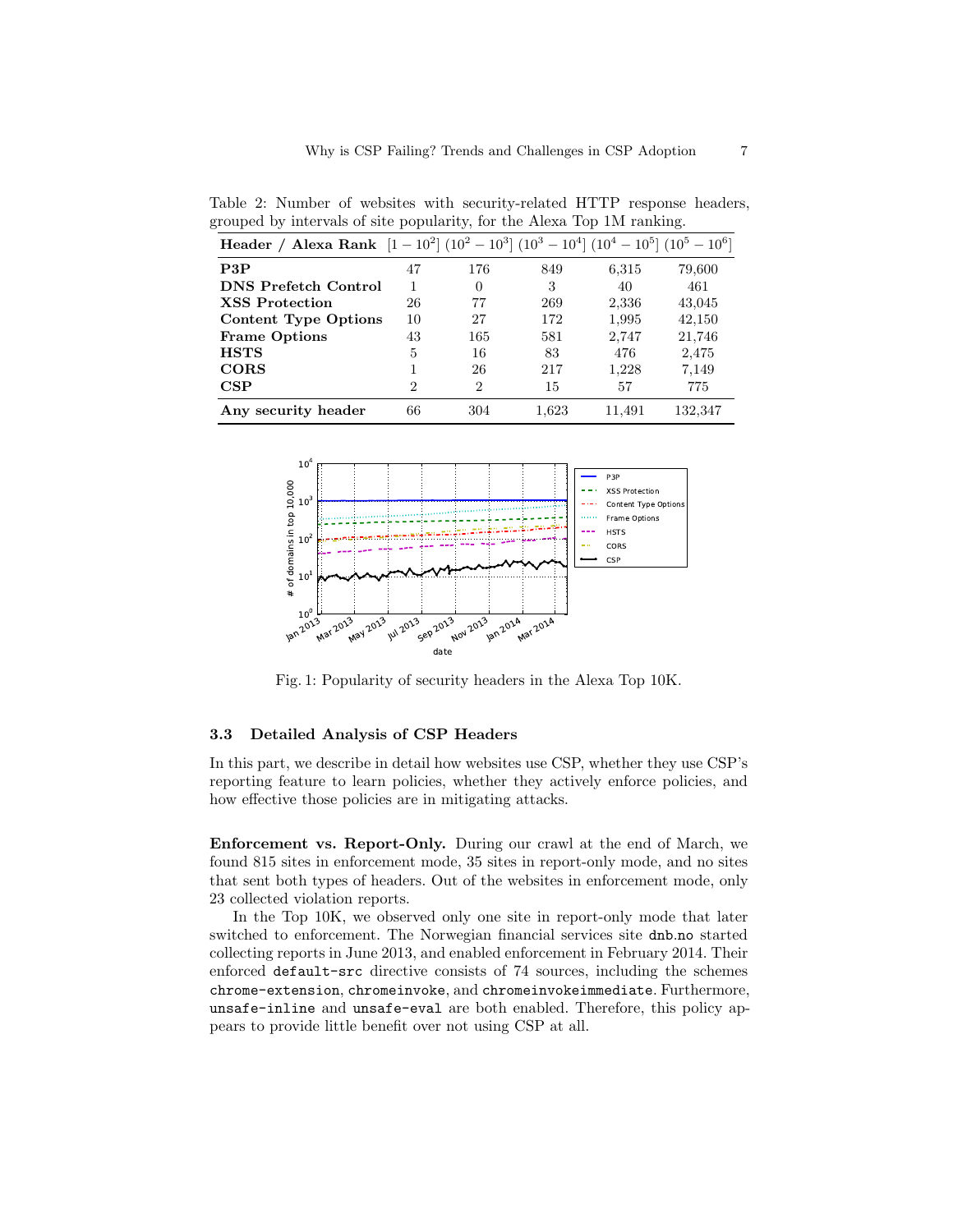<span id="page-6-0"></span>Table 2: Number of websites with security-related HTTP response headers, grouped by intervals of site popularity, for the Alexa Top 1M ranking.

| <b>Header</b> / Alexa Rank $[1 - 10^2] (10^2 - 10^3] (10^3 - 10^4] (10^4 - 10^5] (10^5 - 10^6]$ |    |                             |       |        |         |
|-------------------------------------------------------------------------------------------------|----|-----------------------------|-------|--------|---------|
| P3P                                                                                             | 47 | 176                         | 849   | 6,315  | 79,600  |
| <b>DNS</b> Prefetch Control                                                                     | 1  | $\theta$                    | 3     | 40     | 461     |
| <b>XSS</b> Protection                                                                           | 26 | 77                          | 269   | 2,336  | 43,045  |
| Content Type Options                                                                            | 10 | 27                          | 172   | 1,995  | 42,150  |
| <b>Frame Options</b>                                                                            | 43 | 165                         | 581   | 2,747  | 21,746  |
| <b>HSTS</b>                                                                                     | 5  | 16                          | 83    | 476    | 2,475   |
| <b>CORS</b>                                                                                     |    | 26                          | 217   | 1,228  | 7,149   |
| CSP                                                                                             | 2  | $\mathcal{D}_{\mathcal{L}}$ | 15    | 57     | 775     |
| Any security header                                                                             | 66 | 304                         | 1,623 | 11,491 | 132,347 |

<span id="page-6-1"></span>

Fig. 1: Popularity of security headers in the Alexa Top 10K.

# **3.3 Detailed Analysis of CSP Headers**

In this part, we describe in detail how websites use CSP, whether they use CSP's reporting feature to learn policies, whether they actively enforce policies, and how effective those policies are in mitigating attacks.

**Enforcement vs. Report-Only.** During our crawl at the end of March, we found 815 sites in enforcement mode, 35 sites in report-only mode, and no sites that sent both types of headers. Out of the websites in enforcement mode, only 23 collected violation reports.

In the Top 10K, we observed only one site in report-only mode that later switched to enforcement. The Norwegian financial services site [dnb](dnb.no)*.*no started collecting reports in June 2013, and enabled enforcement in February 2014. Their enforced default-src directive consists of 74 sources, including the schemes chrome-extension, chromeinvoke, and chromeinvokeimmediate. Furthermore, unsafe-inline and unsafe-eval are both enabled. Therefore, this policy appears to provide little benefit over not using CSP at all.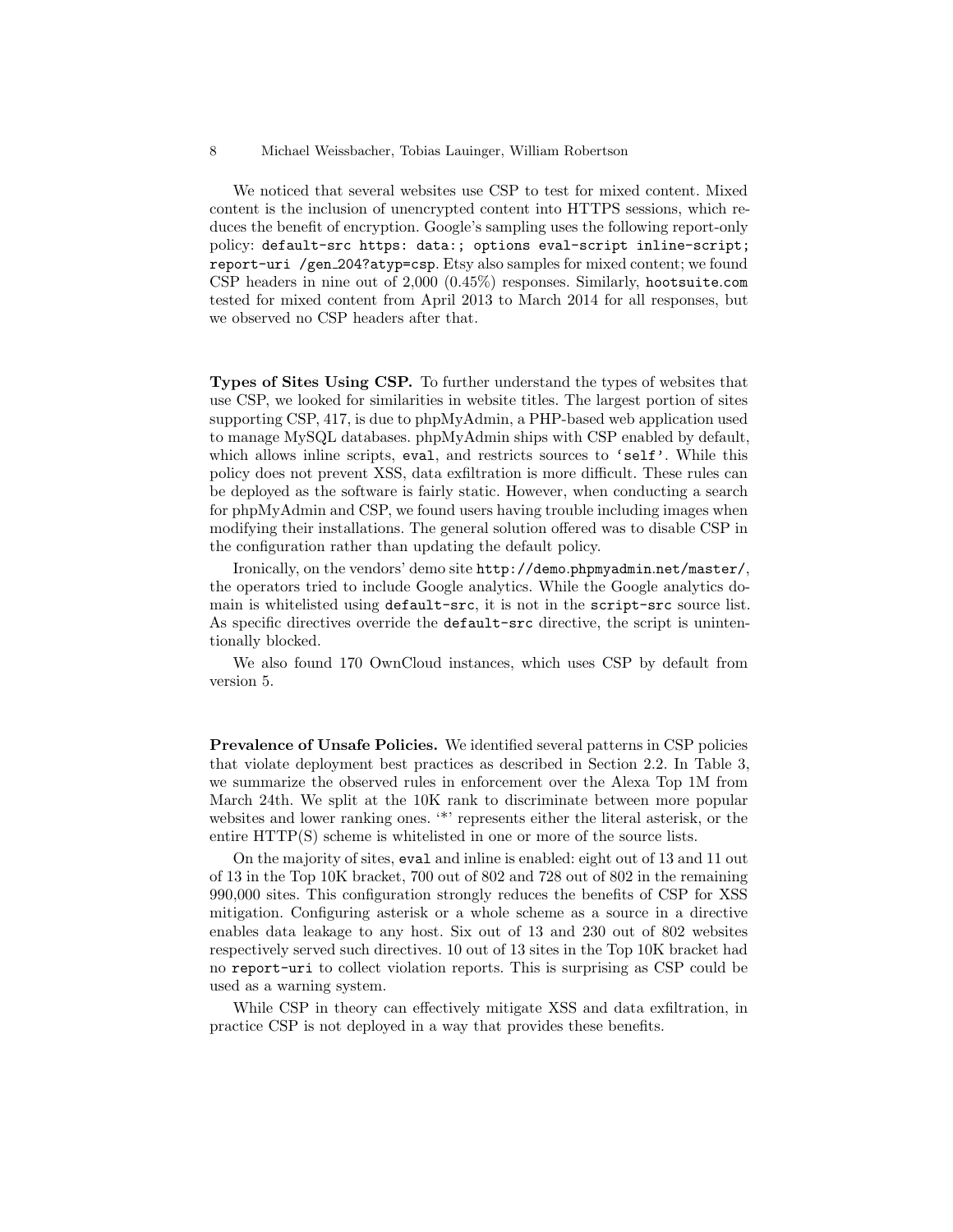We noticed that several websites use CSP to test for mixed content. Mixed content is the inclusion of unencrypted content into HTTPS sessions, which reduces the benefit of encryption. Google's sampling uses the following report-only policy: default-src https: data:; options eval-script inline-script; report-uri /gen 204?atyp=csp. Etsy also samples for mixed content; we found CSP headers in nine out of 2,000 (0.45%) responses. Similarly, [hootsuite](hootsuite.com)*.*com tested for mixed content from April 2013 to March 2014 for all responses, but we observed no CSP headers after that.

**Types of Sites Using CSP.** To further understand the types of websites that use CSP, we looked for similarities in website titles. The largest portion of sites supporting CSP, 417, is due to phpMyAdmin, a PHP-based web application used to manage MySQL databases. phpMyAdmin ships with CSP enabled by default, which allows inline scripts, eval, and restricts sources to 'self'. While this policy does not prevent XSS, data exfiltration is more difficult. These rules can be deployed as the software is fairly static. However, when conducting a search for phpMyAdmin and CSP, we found users having trouble including images when modifying their installations. The general solution offered was to disable CSP in the configuration rather than updating the default policy.

Ironically, on the vendors' demo site [http://demo](http://demo.phpmyadmin.net/master/)*.*phpmyadmin*.*net/master/, the operators tried to include Google analytics. While the Google analytics domain is whitelisted using default-src, it is not in the script-src source list. As specific directives override the default-src directive, the script is unintentionally blocked.

We also found 170 OwnCloud instances, which uses CSP by default from version 5.

**Prevalence of Unsafe Policies.** We identified several patterns in CSP policies that violate deployment best practices as described in Section [2.2](#page-3-0). In Table [3](#page-8-0), we summarize the observed rules in enforcement over the Alexa Top 1M from March 24th. We split at the 10K rank to discriminate between more popular websites and lower ranking ones. '\*' represents either the literal asterisk, or the entire HTTP(S) scheme is whitelisted in one or more of the source lists.

On the majority of sites, eval and inline is enabled: eight out of 13 and 11 out of 13 in the Top 10K bracket, 700 out of 802 and 728 out of 802 in the remaining 990,000 sites. This configuration strongly reduces the benefits of CSP for XSS mitigation. Configuring asterisk or a whole scheme as a source in a directive enables data leakage to any host. Six out of 13 and 230 out of 802 websites respectively served such directives. 10 out of 13 sites in the Top 10K bracket had no report-uri to collect violation reports. This is surprising as CSP could be used as a warning system.

While CSP in theory can effectively mitigate XSS and data exfiltration, in practice CSP is not deployed in a way that provides these benefits.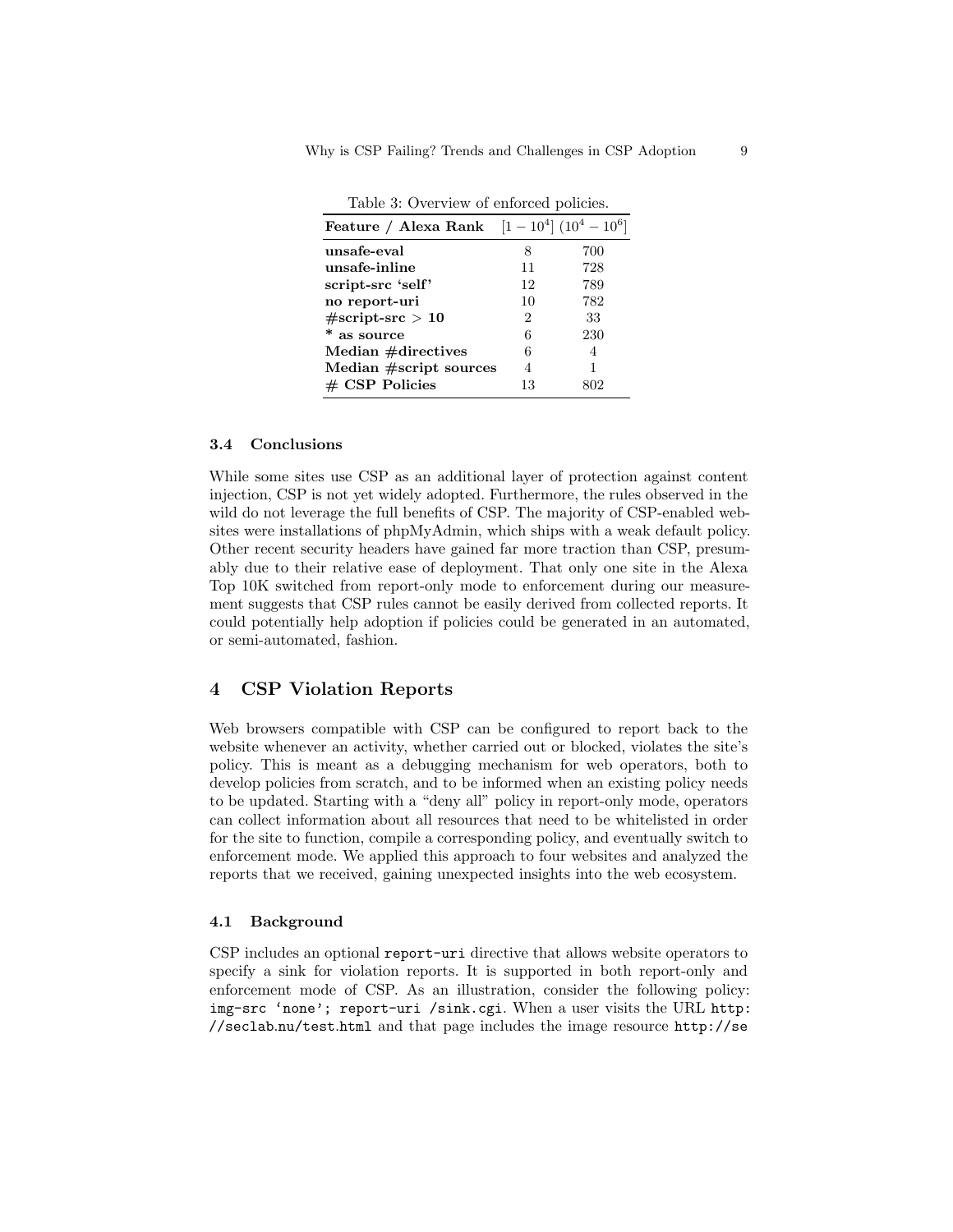<span id="page-8-0"></span>

| Feature / Alexa Rank   |    | $[1 - 10^4]$ $(10^4 - 10^6]$ |
|------------------------|----|------------------------------|
| unsafe-eval            | 8  | 700                          |
| unsafe-inline          | 11 | 728                          |
| script-src 'self'      | 12 | 789                          |
| no report-uri          | 10 | 782                          |
| $#script-src > 10$     | 2  | 33                           |
| * as source            | 6  | 230                          |
| Median #directives     | 6  | 4                            |
| Median #script sources | 4  | 1                            |
| $#$ CSP Policies       | 13 | 802                          |

Table 3: Overview of enforced policies.

# **3.4 Conclusions**

While some sites use CSP as an additional layer of protection against content injection, CSP is not yet widely adopted. Furthermore, the rules observed in the wild do not leverage the full benefits of CSP. The majority of CSP-enabled websites were installations of phpMyAdmin, which ships with a weak default policy. Other recent security headers have gained far more traction than CSP, presumably due to their relative ease of deployment. That only one site in the Alexa Top 10K switched from report-only mode to enforcement during our measurement suggests that CSP rules cannot be easily derived from collected reports. It could potentially help adoption if policies could be generated in an automated, or semi-automated, fashion.

# <span id="page-8-1"></span>**4 CSP Violation Reports**

Web browsers compatible with CSP can be configured to report back to the website whenever an activity, whether carried out or blocked, violates the site's policy. This is meant as a debugging mechanism for web operators, both to develop policies from scratch, and to be informed when an existing policy needs to be updated. Starting with a "deny all" policy in report-only mode, operators can collect information about all resources that need to be whitelisted in order for the site to function, compile a corresponding policy, and eventually switch to enforcement mode. We applied this approach to four websites and analyzed the reports that we received, gaining unexpected insights into the web ecosystem.

### **4.1 Background**

CSP includes an optional report-uri directive that allows website operators to specify a sink for violation reports. It is supported in both report-only and enforcement mode of CSP. As an illustration, consider the following policy: img-src 'none'; report-uri /sink.cgi. When a user visits the URL [http:](http://seclab.nu/test.html) [//seclab](http://seclab.nu/test.html)*.*nu/test*.*html and that page includes the image resource [http://se](http://seclab.nu/pic.gif)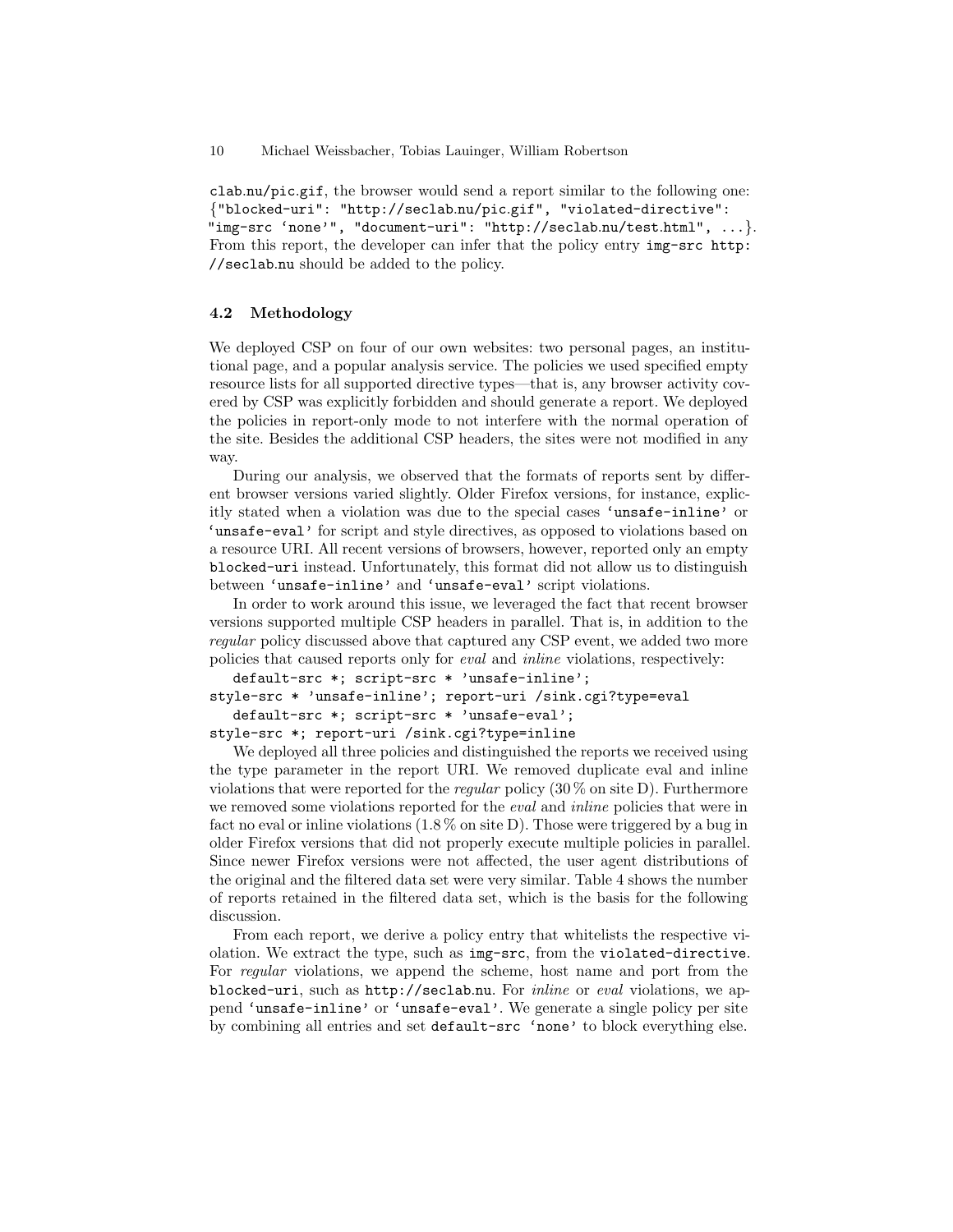clab*.*[nu/pic](http://seclab.nu/pic.gif)*.*gif, the browser would send a report similar to the following one: *{*"blocked-uri": ["http://seclab](http://seclab.nu/pic.gif)*.*nu/pic*.*gif", "violated-directive": "img-src 'none'", "document-uri": ["http://seclab](http://seclab.nu/test.html)*.*nu/test*.*html", ...*}*. From this report, the developer can infer that the policy entry img-src [http:](http://seclab.nu) [//seclab](http://seclab.nu)*.*nu should be added to the policy.

# <span id="page-9-0"></span>**4.2 Methodology**

We deployed CSP on four of our own websites: two personal pages, an institutional page, and a popular analysis service. The policies we used specified empty resource lists for all supported directive types—that is, any browser activity covered by CSP was explicitly forbidden and should generate a report. We deployed the policies in report-only mode to not interfere with the normal operation of the site. Besides the additional CSP headers, the sites were not modified in any way.

During our analysis, we observed that the formats of reports sent by different browser versions varied slightly. Older Firefox versions, for instance, explicitly stated when a violation was due to the special cases 'unsafe-inline' or 'unsafe-eval' for script and style directives, as opposed to violations based on a resource URI. All recent versions of browsers, however, reported only an empty blocked-uri instead. Unfortunately, this format did not allow us to distinguish between 'unsafe-inline' and 'unsafe-eval' script violations.

In order to work around this issue, we leveraged the fact that recent browser versions supported multiple CSP headers in parallel. That is, in addition to the *regular* policy discussed above that captured any CSP event, we added two more policies that caused reports only for *eval* and *inline* violations, respectively:

```
default-src *; script-src * 'unsafe-inline';
style-src * 'unsafe-inline'; report-uri /sink.cgi?type=eval
  default-src *; script-src * 'unsafe-eval';
style-src *; report-uri /sink.cgi?type=inline
```
We deployed all three policies and distinguished the reports we received using the type parameter in the report URI. We removed duplicate eval and inline violations that were reported for the *regular* policy (30 % on site D). Furthermore we removed some violations reported for the *eval* and *inline* policies that were in fact no eval or inline violations  $(1.8\%$  on site D). Those were triggered by a bug in older Firefox versions that did not properly execute multiple policies in parallel. Since newer Firefox versions were not affected, the user agent distributions of the original and the filtered data set were very similar. Table [4](#page-10-0) shows the number of reports retained in the filtered data set, which is the basis for the following discussion.

From each report, we derive a policy entry that whitelists the respective violation. We extract the type, such as img-src, from the violated-directive. For *regular* violations, we append the scheme, host name and port from the blocked-uri, such as [http://seclab](http://seclab.nu)*.*nu. For *inline* or *eval* violations, we append 'unsafe-inline' or 'unsafe-eval'. We generate a single policy per site by combining all entries and set default-src 'none' to block everything else.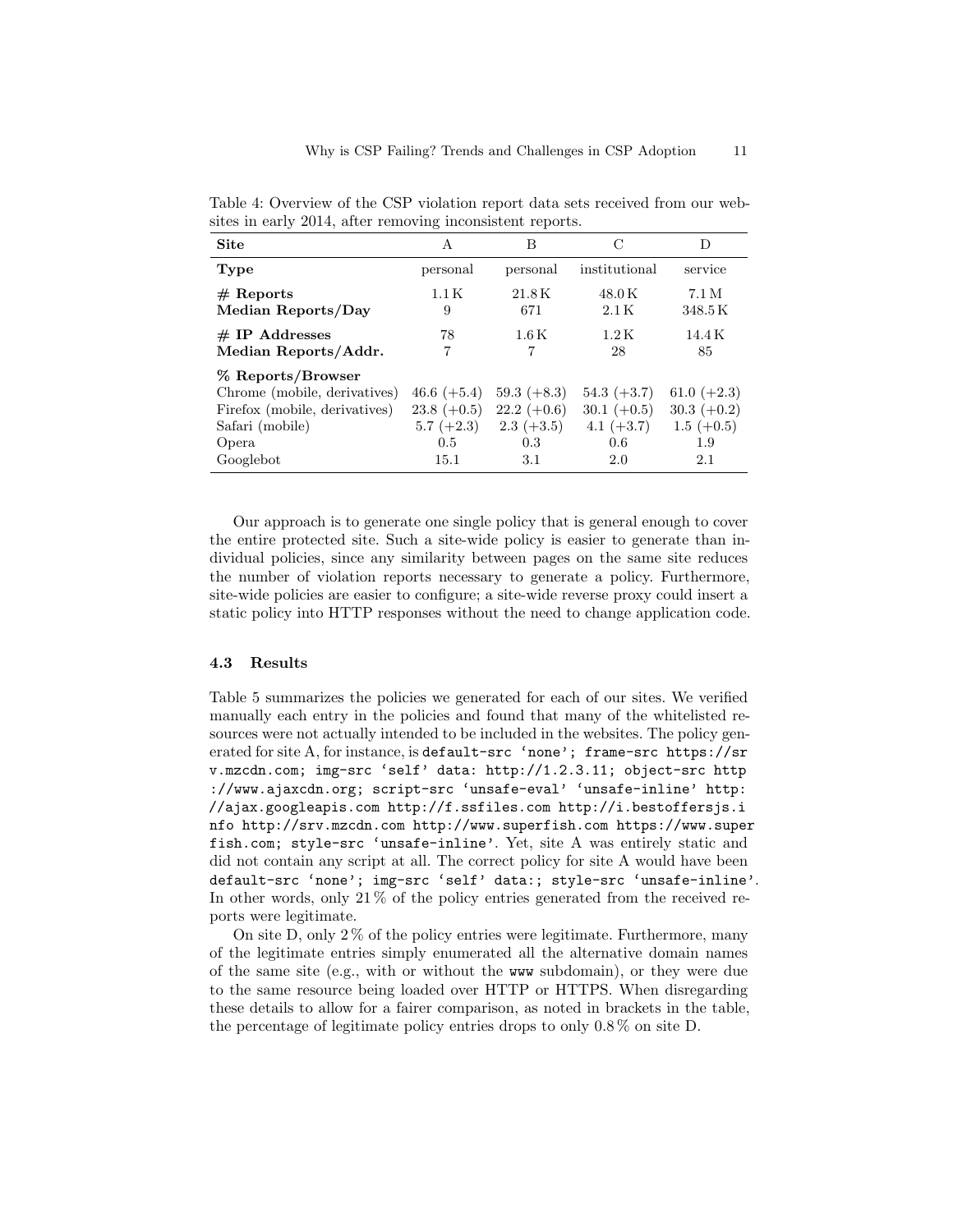| <b>Site</b>                              | A             | В             | С             | D               |
|------------------------------------------|---------------|---------------|---------------|-----------------|
| Type                                     | personal      | personal      | institutional | service         |
| $#$ Reports<br>Median Reports/Day        | 1.1K<br>9     | 21.8K<br>671  | 48.0K<br>2.1K | 7.1 M<br>348.5K |
| $# IP$ Addresses<br>Median Reports/Addr. | 78<br>7       | 1.6K<br>7     | 1.2K<br>28    | 14.4K<br>85     |
| % Reports/Browser                        |               |               |               |                 |
| Chrome (mobile, derivatives)             | 46.6 $(+5.4)$ | $59.3 (+8.3)$ | $54.3 (+3.7)$ | 61.0 $(+2.3)$   |
| Firefox (mobile, derivatives)            | $23.8 (+0.5)$ | $22.2 (+0.6)$ | $30.1 (+0.5)$ | $30.3 (+0.2)$   |
| Safari (mobile)                          | $5.7 (+2.3)$  | $2.3 (+3.5)$  | 4.1 $(+3.7)$  | $1.5 (+0.5)$    |
| Opera                                    | 0.5           | 0.3           | 0.6           | 1.9             |
| Googlebot                                | 15.1          | 3.1           | 2.0           | 2.1             |

<span id="page-10-0"></span>Table 4: Overview of the CSP violation report data sets received from our websites in early 2014, after removing inconsistent reports.

Our approach is to generate one single policy that is general enough to cover the entire protected site. Such a site-wide policy is easier to generate than individual policies, since any similarity between pages on the same site reduces the number of violation reports necessary to generate a policy. Furthermore, site-wide policies are easier to configure; a site-wide reverse proxy could insert a static policy into HTTP responses without the need to change application code.

#### <span id="page-10-1"></span>**4.3 Results**

Table [5](#page-11-0) summarizes the policies we generated for each of our sites. We verified manually each entry in the policies and found that many of the whitelisted resources were not actually intended to be included in the websites. The policy generated for site A, for instance, is default-src 'none'; frame-src https://sr v.mzcdn.com; img-src 'self' data: http://1.2.3.11; object-src http ://www.ajaxcdn.org; script-src 'unsafe-eval' 'unsafe-inline' http: //ajax.googleapis.com http://f.ssfiles.com http://i.bestoffersjs.i nfo http://srv.mzcdn.com http://www.superfish.com https://www.super fish.com; style-src 'unsafe-inline'. Yet, site A was entirely static and did not contain any script at all. The correct policy for site A would have been default-src 'none'; img-src 'self' data:; style-src 'unsafe-inline'. In other words, only 21% of the policy entries generated from the received reports were legitimate.

On site D, only 2 % of the policy entries were legitimate. Furthermore, many of the legitimate entries simply enumerated all the alternative domain names of the same site (e.g., with or without the www subdomain), or they were due to the same resource being loaded over HTTP or HTTPS. When disregarding these details to allow for a fairer comparison, as noted in brackets in the table, the percentage of legitimate policy entries drops to only 0.8 % on site D.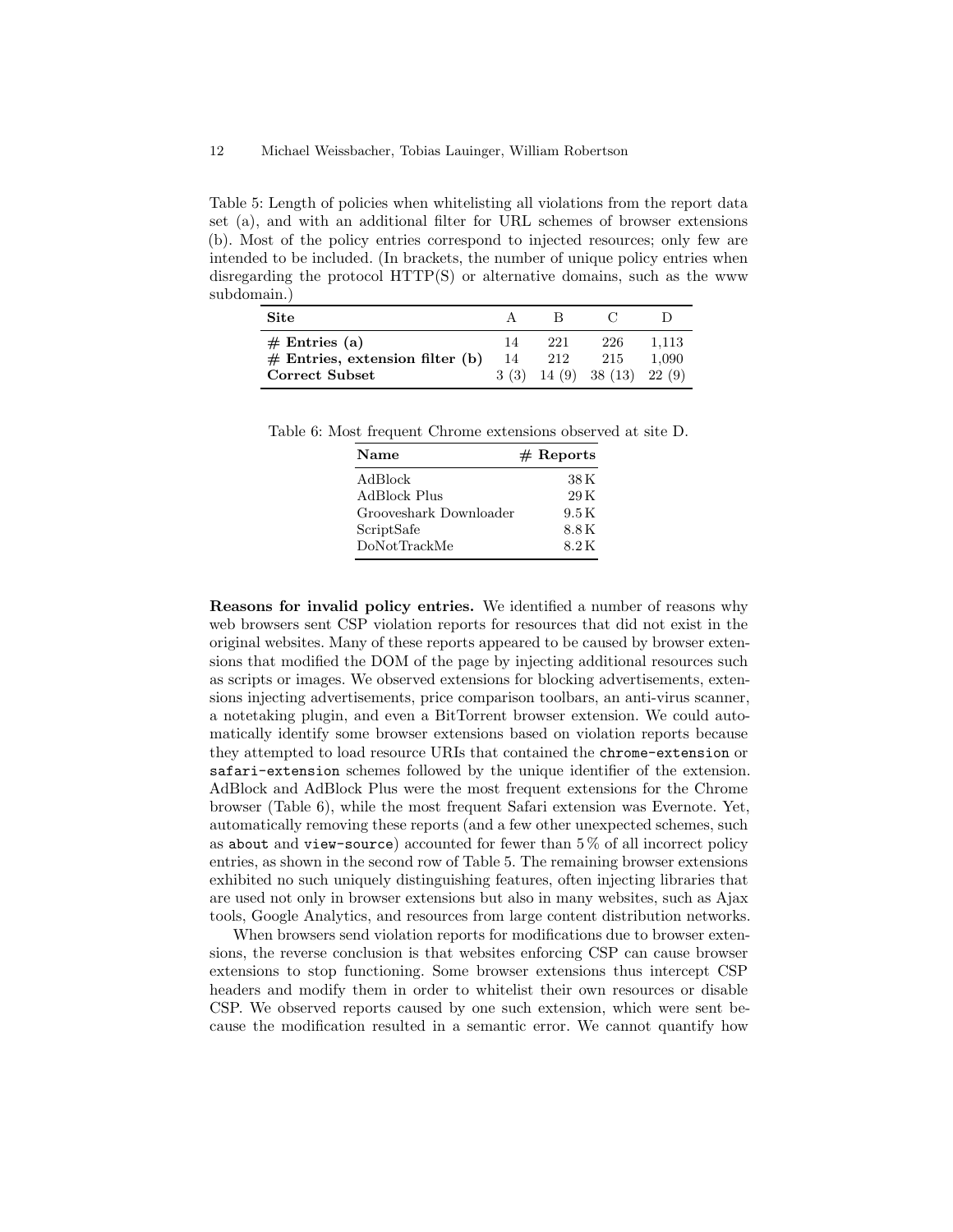<span id="page-11-0"></span>Table 5: Length of policies when whitelisting all violations from the report data set (a), and with an additional filter for URL schemes of browser extensions (b). Most of the policy entries correspond to injected resources; only few are intended to be included. (In brackets, the number of unique policy entries when disregarding the protocol HTTP(S) or alternative domains, such as the www subdomain.)

| <b>Site</b>                                                                    |          |            |                                             |                |
|--------------------------------------------------------------------------------|----------|------------|---------------------------------------------|----------------|
| $#$ Entries (a)<br>$\#$ Entries, extension filter (b)<br><b>Correct Subset</b> | 14<br>14 | 221<br>212 | 226<br>-215<br>$3(3)$ 14 (9) 38 (13) 22 (9) | 1.113<br>1,090 |

<span id="page-11-1"></span>Table 6: Most frequent Chrome extensions observed at site D.

| Name                   | $#$ Reports |
|------------------------|-------------|
| AdBlock                | 38 K        |
| AdBlock Plus           | 29 K        |
| Grooveshark Downloader | 9.5K        |
| ScriptSafe             | 8.8 K       |
| DoNotTrackMe           | 8.2K        |

**Reasons for invalid policy entries.** We identified a number of reasons why web browsers sent CSP violation reports for resources that did not exist in the original websites. Many of these reports appeared to be caused by browser extensions that modified the DOM of the page by injecting additional resources such as scripts or images. We observed extensions for blocking advertisements, extensions injecting advertisements, price comparison toolbars, an anti-virus scanner, a notetaking plugin, and even a BitTorrent browser extension. We could automatically identify some browser extensions based on violation reports because they attempted to load resource URIs that contained the chrome-extension or safari-extension schemes followed by the unique identifier of the extension. AdBlock and AdBlock Plus were the most frequent extensions for the Chrome browser (Table [6](#page-11-1)), while the most frequent Safari extension was Evernote. Yet, automatically removing these reports (and a few other unexpected schemes, such as about and view-source) accounted for fewer than  $5\%$  of all incorrect policy entries, as shown in the second row of Table [5.](#page-11-0) The remaining browser extensions exhibited no such uniquely distinguishing features, often injecting libraries that are used not only in browser extensions but also in many websites, such as Ajax tools, Google Analytics, and resources from large content distribution networks.

When browsers send violation reports for modifications due to browser extensions, the reverse conclusion is that websites enforcing CSP can cause browser extensions to stop functioning. Some browser extensions thus intercept CSP headers and modify them in order to whitelist their own resources or disable CSP. We observed reports caused by one such extension, which were sent because the modification resulted in a semantic error. We cannot quantify how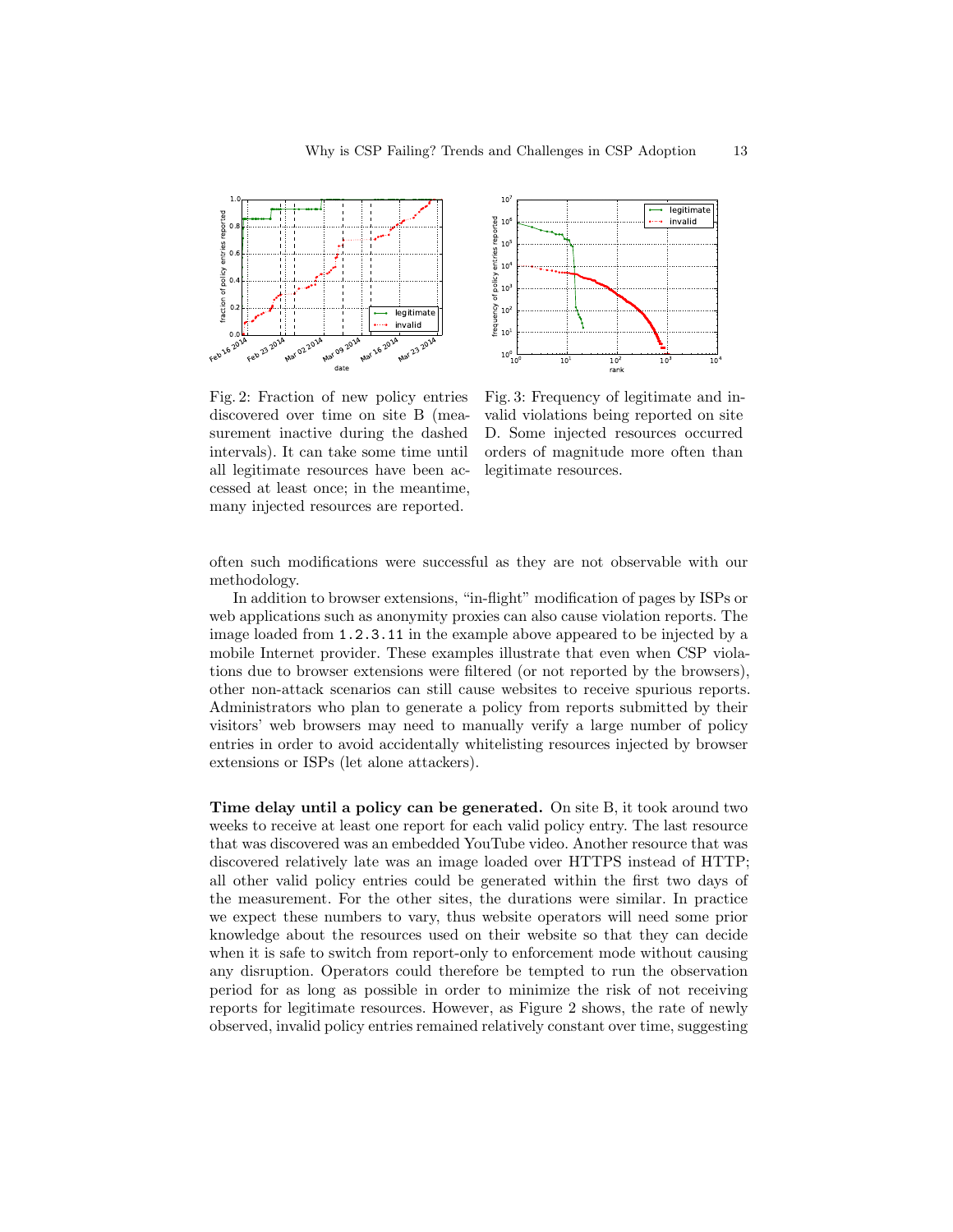<span id="page-12-0"></span>



Fig. 2: Fraction of new policy entries discovered over time on site B (measurement inactive during the dashed intervals). It can take some time until all legitimate resources have been accessed at least once; in the meantime, many injected resources are reported.

Fig. 3: Frequency of legitimate and invalid violations being reported on site D. Some injected resources occurred orders of magnitude more often than legitimate resources.

often such modifications were successful as they are not observable with our methodology.

In addition to browser extensions, "in-flight" modification of pages by ISPs or web applications such as anonymity proxies can also cause violation reports. The image loaded from 1.2.3.11 in the example above appeared to be injected by a mobile Internet provider. These examples illustrate that even when CSP violations due to browser extensions were filtered (or not reported by the browsers), other non-attack scenarios can still cause websites to receive spurious reports. Administrators who plan to generate a policy from reports submitted by their visitors' web browsers may need to manually verify a large number of policy entries in order to avoid accidentally whitelisting resources injected by browser extensions or ISPs (let alone attackers).

**Time delay until a policy can be generated.** On site B, it took around two weeks to receive at least one report for each valid policy entry. The last resource that was discovered was an embedded YouTube video. Another resource that was discovered relatively late was an image loaded over HTTPS instead of HTTP; all other valid policy entries could be generated within the first two days of the measurement. For the other sites, the durations were similar. In practice we expect these numbers to vary, thus website operators will need some prior knowledge about the resources used on their website so that they can decide when it is safe to switch from report-only to enforcement mode without causing any disruption. Operators could therefore be tempted to run the observation period for as long as possible in order to minimize the risk of not receiving reports for legitimate resources. However, as Figure [2](#page-12-0) shows, the rate of newly observed, invalid policy entries remained relatively constant over time, suggesting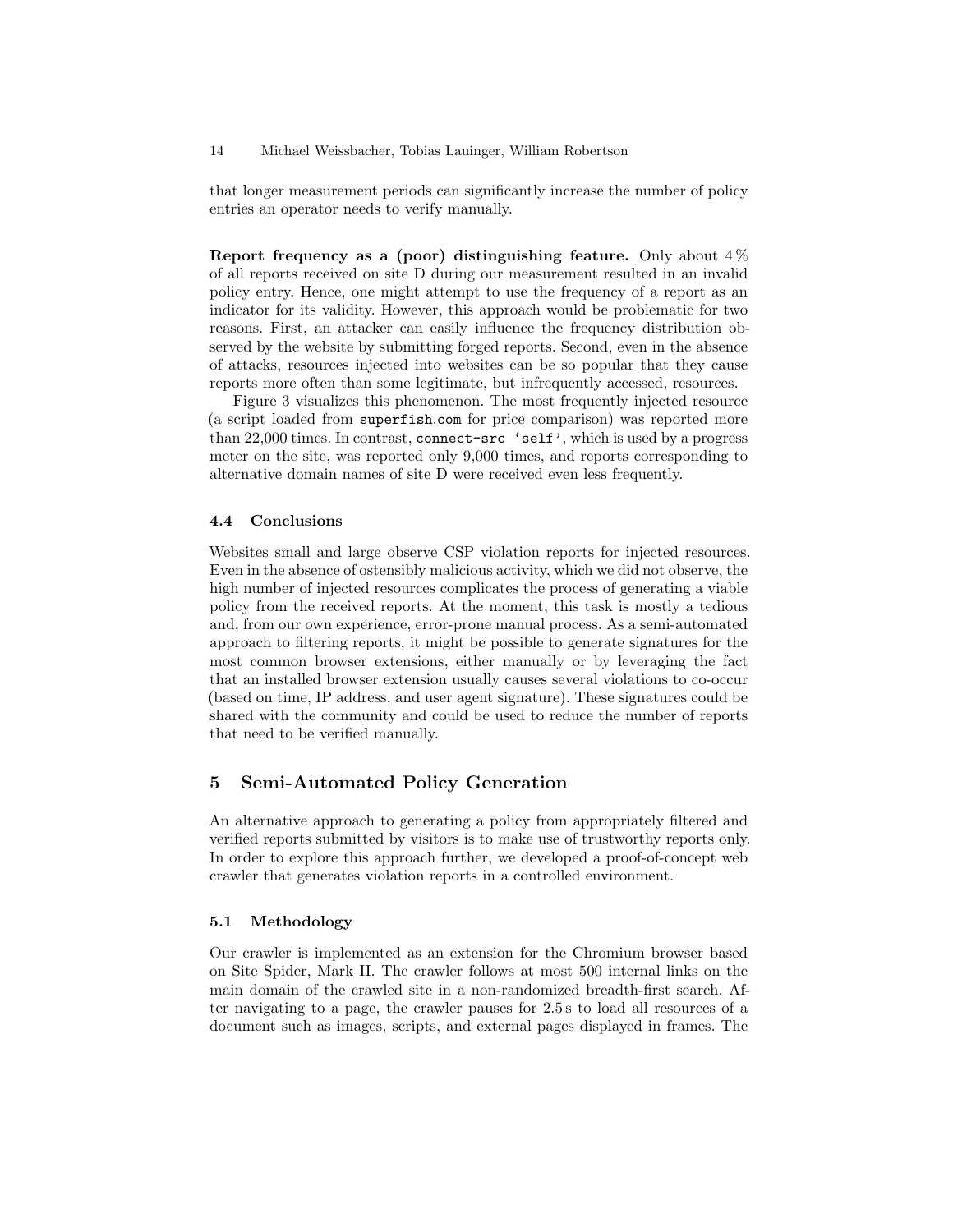that longer measurement periods can significantly increase the number of policy entries an operator needs to verify manually.

**Report frequency as a (poor) distinguishing feature.** Only about  $4\%$ of all reports received on site D during our measurement resulted in an invalid policy entry. Hence, one might attempt to use the frequency of a report as an indicator for its validity. However, this approach would be problematic for two reasons. First, an attacker can easily influence the frequency distribution observed by the website by submitting forged reports. Second, even in the absence of attacks, resources injected into websites can be so popular that they cause reports more often than some legitimate, but infrequently accessed, resources.

Figure [3](#page-12-0) visualizes this phenomenon. The most frequently injected resource (a script loaded from [superfish](superfish.com)*.*com for price comparison) was reported more than 22,000 times. In contrast, connect-src 'self', which is used by a progress meter on the site, was reported only 9,000 times, and reports corresponding to alternative domain names of site D were received even less frequently.

### **4.4 Conclusions**

Websites small and large observe CSP violation reports for injected resources. Even in the absence of ostensibly malicious activity, which we did not observe, the high number of injected resources complicates the process of generating a viable policy from the received reports. At the moment, this task is mostly a tedious and, from our own experience, error-prone manual process. As a semi-automated approach to filtering reports, it might be possible to generate signatures for the most common browser extensions, either manually or by leveraging the fact that an installed browser extension usually causes several violations to co-occur (based on time, IP address, and user agent signature). These signatures could be shared with the community and could be used to reduce the number of reports that need to be verified manually.

# **5 Semi-Automated Policy Generation**

An alternative approach to generating a policy from appropriately filtered and verified reports submitted by visitors is to make use of trustworthy reports only. In order to explore this approach further, we developed a proof-of-concept web crawler that generates violation reports in a controlled environment.

### **5.1 Methodology**

Our crawler is implemented as an extension for the Chromium browser based on Site Spider, Mark II. The crawler follows at most 500 internal links on the main domain of the crawled site in a non-randomized breadth-first search. After navigating to a page, the crawler pauses for 2.5 s to load all resources of a document such as images, scripts, and external pages displayed in frames. The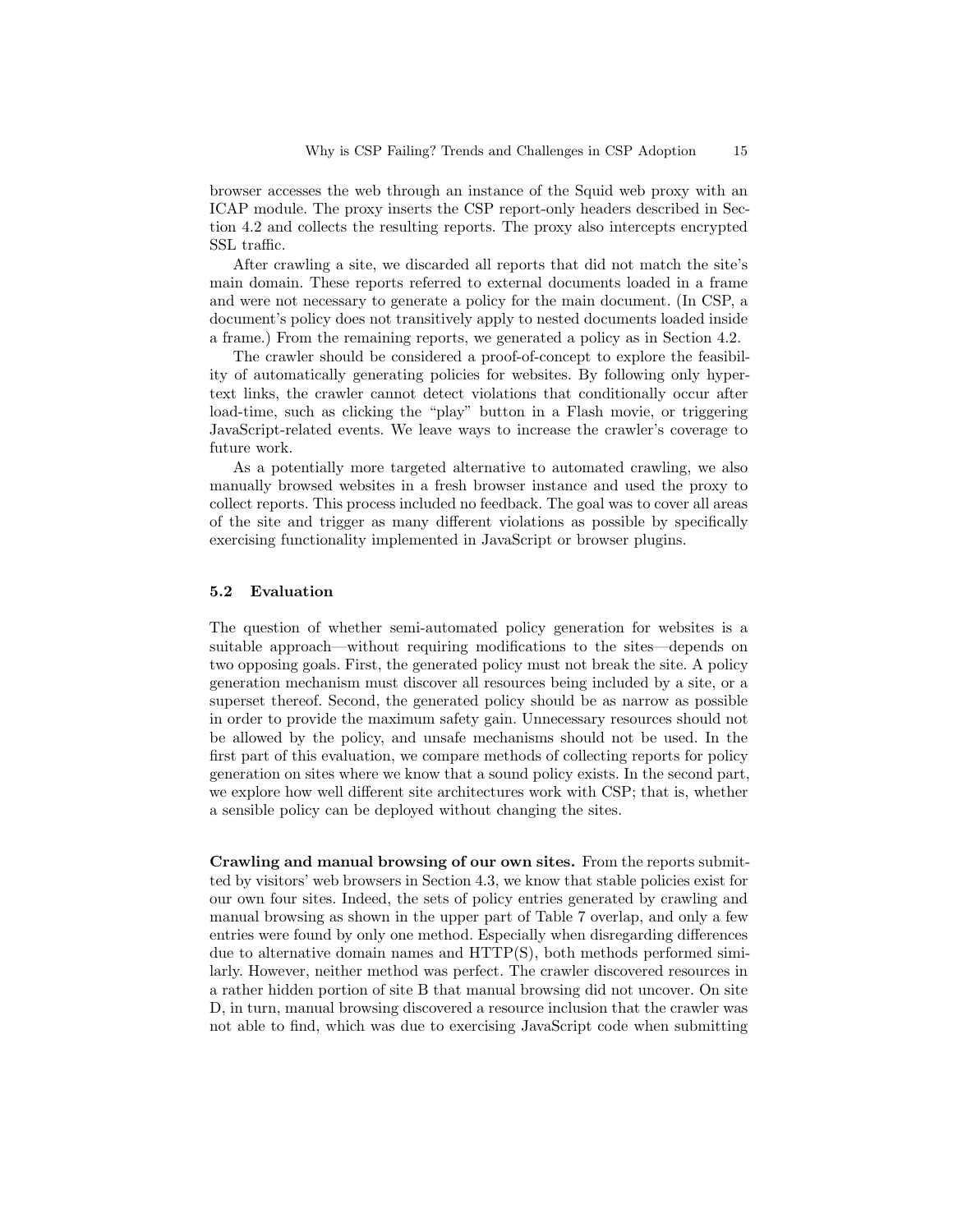browser accesses the web through an instance of the Squid web proxy with an ICAP module. The proxy inserts the CSP report-only headers described in Section [4.2](#page-9-0) and collects the resulting reports. The proxy also intercepts encrypted SSL traffic.

After crawling a site, we discarded all reports that did not match the site's main domain. These reports referred to external documents loaded in a frame and were not necessary to generate a policy for the main document. (In CSP, a document's policy does not transitively apply to nested documents loaded inside a frame.) From the remaining reports, we generated a policy as in Section [4.2.](#page-9-0)

The crawler should be considered a proof-of-concept to explore the feasibility of automatically generating policies for websites. By following only hypertext links, the crawler cannot detect violations that conditionally occur after load-time, such as clicking the "play" button in a Flash movie, or triggering JavaScript-related events. We leave ways to increase the crawler's coverage to future work.

As a potentially more targeted alternative to automated crawling, we also manually browsed websites in a fresh browser instance and used the proxy to collect reports. This process included no feedback. The goal was to cover all areas of the site and trigger as many different violations as possible by specifically exercising functionality implemented in JavaScript or browser plugins.

# **5.2 Evaluation**

The question of whether semi-automated policy generation for websites is a suitable approach—without requiring modifications to the sites—depends on two opposing goals. First, the generated policy must not break the site. A policy generation mechanism must discover all resources being included by a site, or a superset thereof. Second, the generated policy should be as narrow as possible in order to provide the maximum safety gain. Unnecessary resources should not be allowed by the policy, and unsafe mechanisms should not be used. In the first part of this evaluation, we compare methods of collecting reports for policy generation on sites where we know that a sound policy exists. In the second part, we explore how well different site architectures work with CSP; that is, whether a sensible policy can be deployed without changing the sites.

**Crawling and manual browsing of our own sites.** From the reports submitted by visitors' web browsers in Section [4.3](#page-10-1), we know that stable policies exist for our own four sites. Indeed, the sets of policy entries generated by crawling and manual browsing as shown in the upper part of Table [7](#page-15-0) overlap, and only a few entries were found by only one method. Especially when disregarding differences due to alternative domain names and HTTP(S), both methods performed similarly. However, neither method was perfect. The crawler discovered resources in a rather hidden portion of site B that manual browsing did not uncover. On site D, in turn, manual browsing discovered a resource inclusion that the crawler was not able to find, which was due to exercising JavaScript code when submitting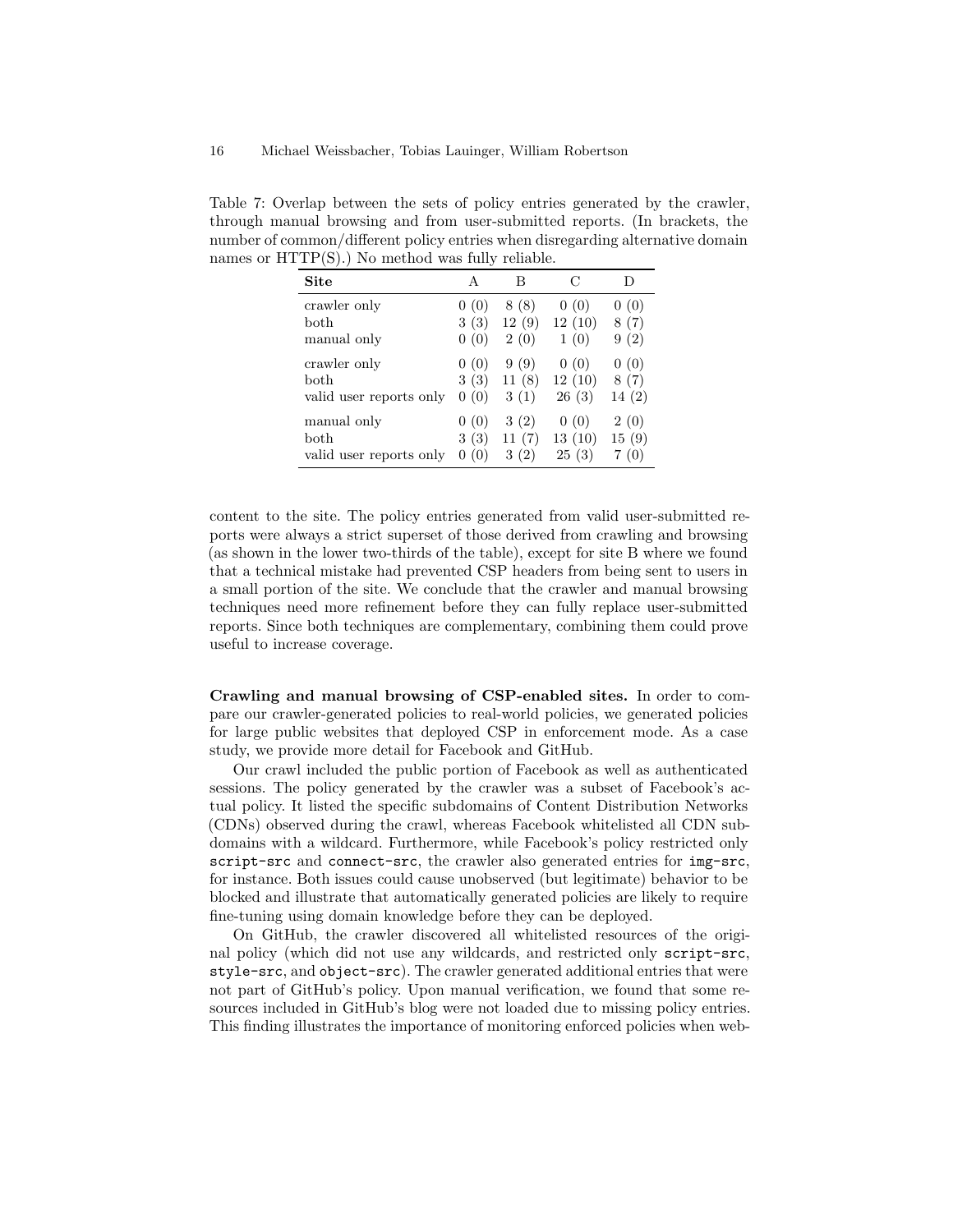<span id="page-15-0"></span>Table 7: Overlap between the sets of policy entries generated by the crawler, through manual browsing and from user-submitted reports. (In brackets, the number of common/different policy entries when disregarding alternative domain names or HTTP(S).) No method was fully reliable.

| Site                    | А        | В        | C      | D     |
|-------------------------|----------|----------|--------|-------|
| crawler only            | (0)      | 8(8)     | 0(0)   | 0(0)  |
| both                    | 3(3)     | 12(9)    | 12(10) | 8(7)  |
| manual only             | (0)      | 2(0)     | 1(0)   | 9(2)  |
| crawler only            | (0)<br>0 | 9(9)     | 0(0)   | 0(0)  |
| both                    | 3(3)     | 11(8)    | 12(10) | 8(7)  |
| valid user reports only | (0)<br>0 | 3(1)     | 26(3)  | 14(2) |
| manual only             | 0(0)     | 3(2)     | 0(0)   | 2(0)  |
| both                    | 3(3)     | 11(7)    | 13(10) | 15(9) |
| valid user reports only | (0)<br>0 | (2)<br>3 | 25(3)  | (0)   |

content to the site. The policy entries generated from valid user-submitted reports were always a strict superset of those derived from crawling and browsing (as shown in the lower two-thirds of the table), except for site B where we found that a technical mistake had prevented CSP headers from being sent to users in a small portion of the site. We conclude that the crawler and manual browsing techniques need more refinement before they can fully replace user-submitted reports. Since both techniques are complementary, combining them could prove useful to increase coverage.

**Crawling and manual browsing of CSP-enabled sites.** In order to compare our crawler-generated policies to real-world policies, we generated policies for large public websites that deployed CSP in enforcement mode. As a case study, we provide more detail for Facebook and GitHub.

Our crawl included the public portion of Facebook as well as authenticated sessions. The policy generated by the crawler was a subset of Facebook's actual policy. It listed the specific subdomains of Content Distribution Networks (CDNs) observed during the crawl, whereas Facebook whitelisted all CDN subdomains with a wildcard. Furthermore, while Facebook's policy restricted only script-src and connect-src, the crawler also generated entries for img-src, for instance. Both issues could cause unobserved (but legitimate) behavior to be blocked and illustrate that automatically generated policies are likely to require fine-tuning using domain knowledge before they can be deployed.

On GitHub, the crawler discovered all whitelisted resources of the original policy (which did not use any wildcards, and restricted only script-src, style-src, and object-src). The crawler generated additional entries that were not part of GitHub's policy. Upon manual verification, we found that some resources included in GitHub's blog were not loaded due to missing policy entries. This finding illustrates the importance of monitoring enforced policies when web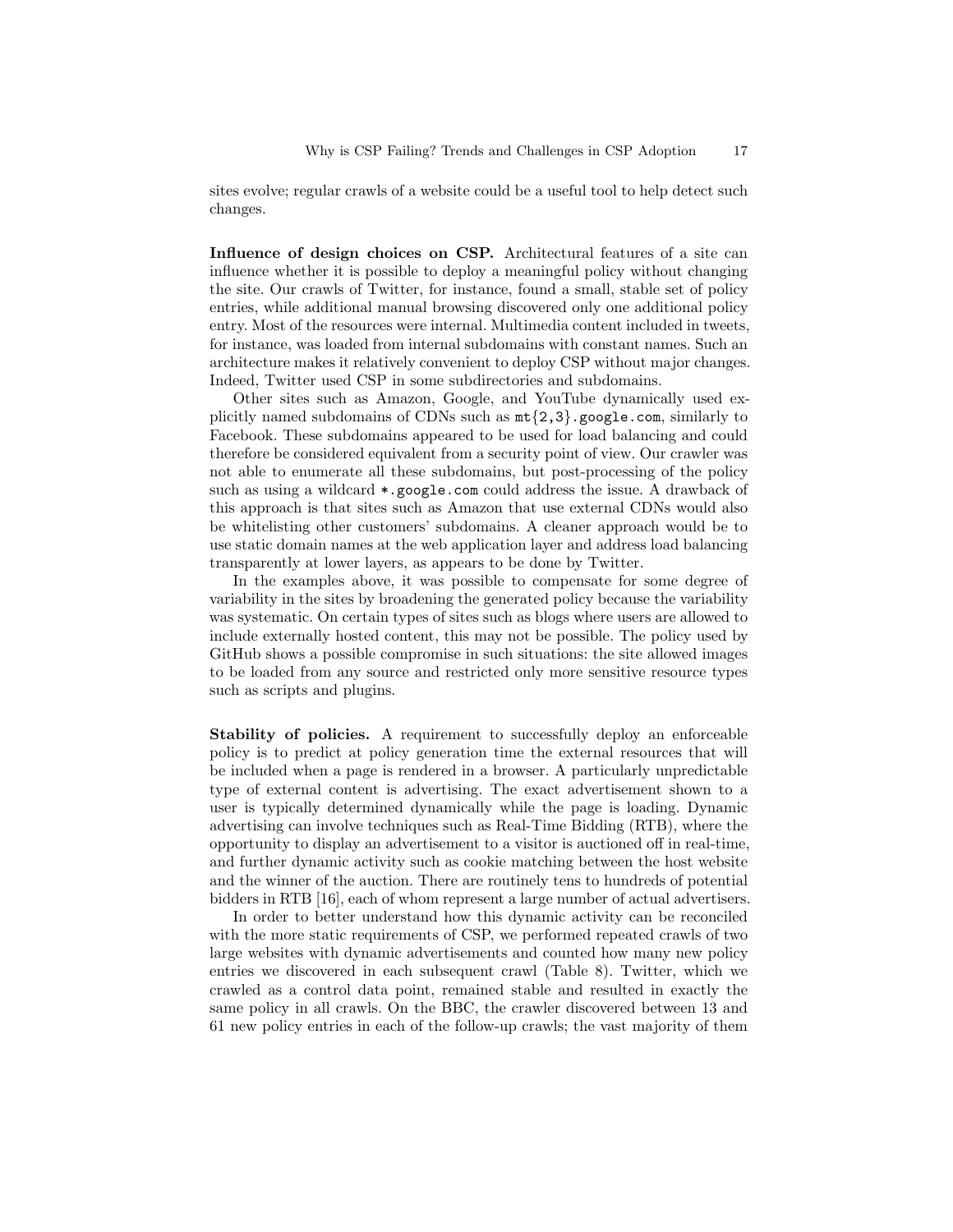sites evolve; regular crawls of a website could be a useful tool to help detect such changes.

**Influence of design choices on CSP.** Architectural features of a site can influence whether it is possible to deploy a meaningful policy without changing the site. Our crawls of Twitter, for instance, found a small, stable set of policy entries, while additional manual browsing discovered only one additional policy entry. Most of the resources were internal. Multimedia content included in tweets, for instance, was loaded from internal subdomains with constant names. Such an architecture makes it relatively convenient to deploy CSP without major changes. Indeed, Twitter used CSP in some subdirectories and subdomains.

Other sites such as Amazon, Google, and YouTube dynamically used explicitly named subdomains of CDNs such as mt*{*2,3*}*.google.com, similarly to Facebook. These subdomains appeared to be used for load balancing and could therefore be considered equivalent from a security point of view. Our crawler was not able to enumerate all these subdomains, but post-processing of the policy such as using a wildcard \*.google.com could address the issue. A drawback of this approach is that sites such as Amazon that use external CDNs would also be whitelisting other customers' subdomains. A cleaner approach would be to use static domain names at the web application layer and address load balancing transparently at lower layers, as appears to be done by Twitter.

In the examples above, it was possible to compensate for some degree of variability in the sites by broadening the generated policy because the variability was systematic. On certain types of sites such as blogs where users are allowed to include externally hosted content, this may not be possible. The policy used by GitHub shows a possible compromise in such situations: the site allowed images to be loaded from any source and restricted only more sensitive resource types such as scripts and plugins.

**Stability of policies.** A requirement to successfully deploy an enforceable policy is to predict at policy generation time the external resources that will be included when a page is rendered in a browser. A particularly unpredictable type of external content is advertising. The exact advertisement shown to a user is typically determined dynamically while the page is loading. Dynamic advertising can involve techniques such as Real-Time Bidding (RTB), where the opportunity to display an advertisement to a visitor is auctioned off in real-time, and further dynamic activity such as cookie matching between the host website and the winner of the auction. There are routinely tens to hundreds of potential bidders in RTB [[16\]](#page-21-12), each of whom represent a large number of actual advertisers.

In order to better understand how this dynamic activity can be reconciled with the more static requirements of CSP, we performed repeated crawls of two large websites with dynamic advertisements and counted how many new policy entries we discovered in each subsequent crawl (Table [8](#page-17-0)). Twitter, which we crawled as a control data point, remained stable and resulted in exactly the same policy in all crawls. On the BBC, the crawler discovered between 13 and 61 new policy entries in each of the follow-up crawls; the vast majority of them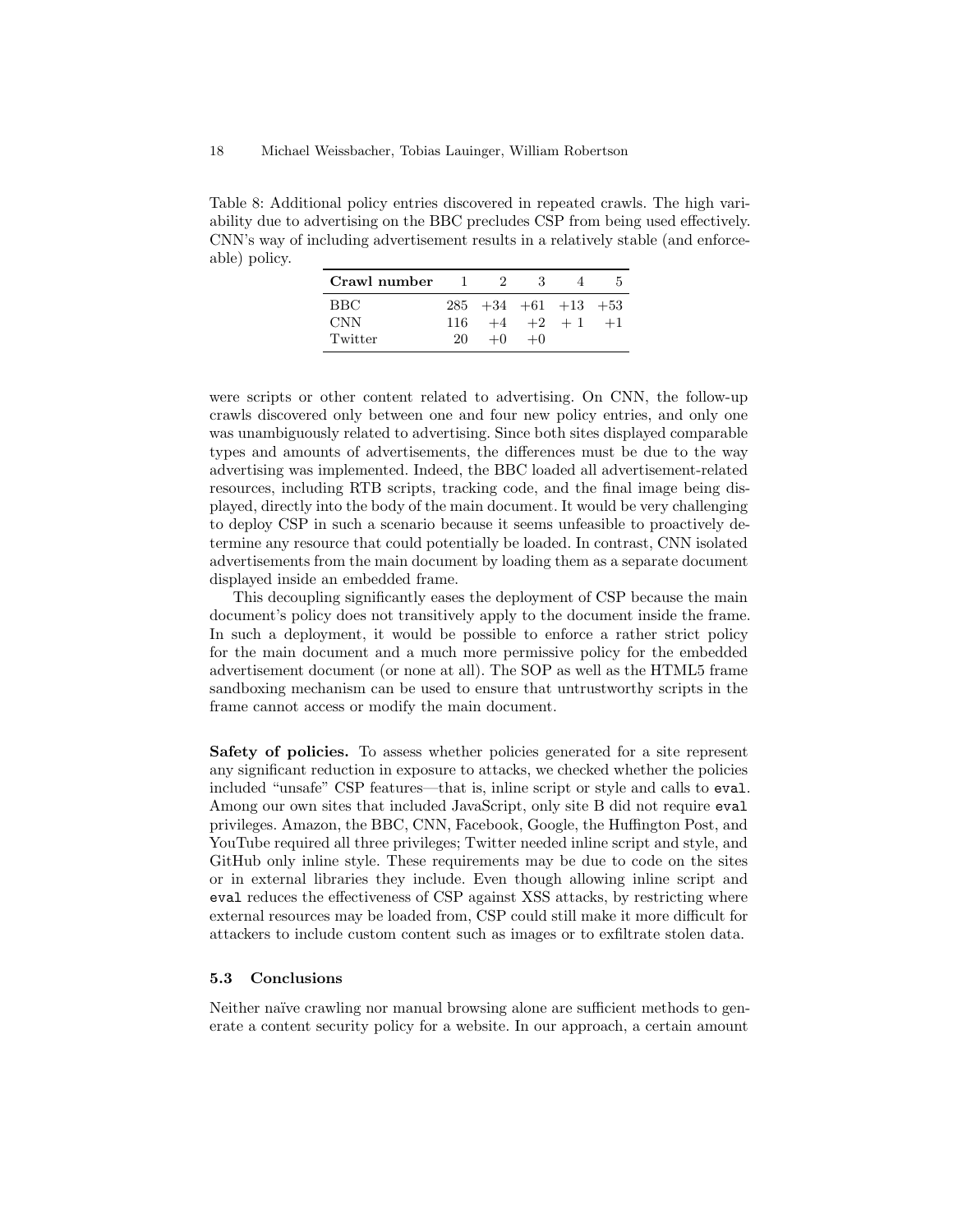<span id="page-17-0"></span>Table 8: Additional policy entries discovered in repeated crawls. The high variability due to advertising on the BBC precludes CSP from being used effectively. CNN's way of including advertisement results in a relatively stable (and enforceable) policy.

| Crawl number |     |                       | з    |          | 5    |
|--------------|-----|-----------------------|------|----------|------|
| <b>BBC</b>   |     | $285 +34 +61 +13 +53$ |      |          |      |
| <b>CNN</b>   | 116 | $+4$                  |      | $+2$ + 1 | $+1$ |
| Twitter      | 20  | $+0$                  | $+0$ |          |      |

were scripts or other content related to advertising. On CNN, the follow-up crawls discovered only between one and four new policy entries, and only one was unambiguously related to advertising. Since both sites displayed comparable types and amounts of advertisements, the differences must be due to the way advertising was implemented. Indeed, the BBC loaded all advertisement-related resources, including RTB scripts, tracking code, and the final image being displayed, directly into the body of the main document. It would be very challenging to deploy CSP in such a scenario because it seems unfeasible to proactively determine any resource that could potentially be loaded. In contrast, CNN isolated advertisements from the main document by loading them as a separate document displayed inside an embedded frame.

This decoupling significantly eases the deployment of CSP because the main document's policy does not transitively apply to the document inside the frame. In such a deployment, it would be possible to enforce a rather strict policy for the main document and a much more permissive policy for the embedded advertisement document (or none at all). The SOP as well as the HTML5 frame sandboxing mechanism can be used to ensure that untrustworthy scripts in the frame cannot access or modify the main document.

**Safety of policies.** To assess whether policies generated for a site represent any significant reduction in exposure to attacks, we checked whether the policies included "unsafe" CSP features—that is, inline script or style and calls to eval. Among our own sites that included JavaScript, only site B did not require eval privileges. Amazon, the BBC, CNN, Facebook, Google, the Huffington Post, and YouTube required all three privileges; Twitter needed inline script and style, and GitHub only inline style. These requirements may be due to code on the sites or in external libraries they include. Even though allowing inline script and eval reduces the effectiveness of CSP against XSS attacks, by restricting where external resources may be loaded from, CSP could still make it more difficult for attackers to include custom content such as images or to exfiltrate stolen data.

# **5.3 Conclusions**

Neither naïve crawling nor manual browsing alone are sufficient methods to generate a content security policy for a website. In our approach, a certain amount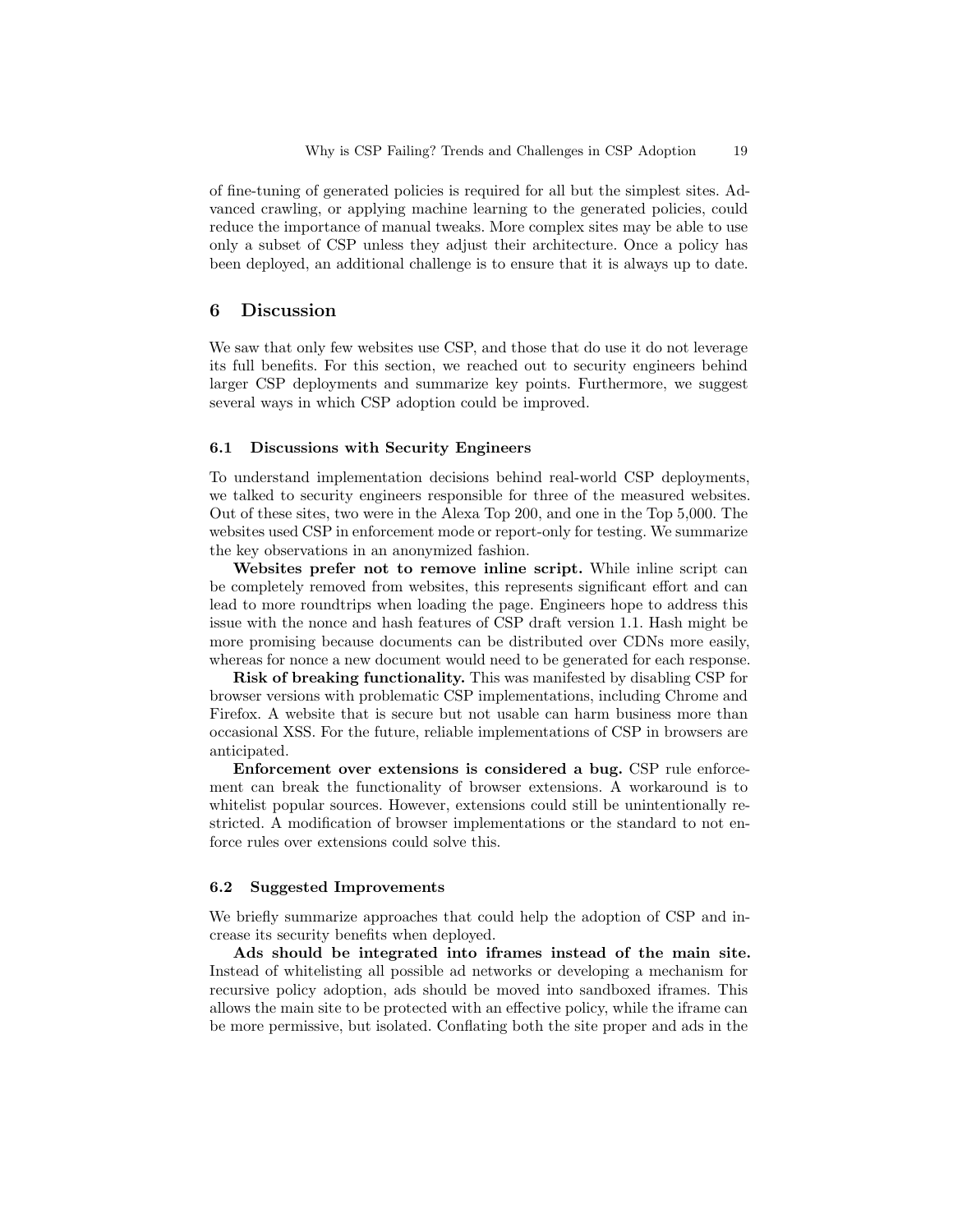of fine-tuning of generated policies is required for all but the simplest sites. Advanced crawling, or applying machine learning to the generated policies, could reduce the importance of manual tweaks. More complex sites may be able to use only a subset of CSP unless they adjust their architecture. Once a policy has been deployed, an additional challenge is to ensure that it is always up to date.

# **6 Discussion**

We saw that only few websites use CSP, and those that do use it do not leverage its full benefits. For this section, we reached out to security engineers behind larger CSP deployments and summarize key points. Furthermore, we suggest several ways in which CSP adoption could be improved.

### **6.1 Discussions with Security Engineers**

To understand implementation decisions behind real-world CSP deployments, we talked to security engineers responsible for three of the measured websites. Out of these sites, two were in the Alexa Top 200, and one in the Top 5,000. The websites used CSP in enforcement mode or report-only for testing. We summarize the key observations in an anonymized fashion.

**Websites prefer not to remove inline script.** While inline script can be completely removed from websites, this represents significant effort and can lead to more roundtrips when loading the page. Engineers hope to address this issue with the nonce and hash features of CSP draft version 1.1. Hash might be more promising because documents can be distributed over CDNs more easily, whereas for nonce a new document would need to be generated for each response.

**Risk of breaking functionality.** This was manifested by disabling CSP for browser versions with problematic CSP implementations, including Chrome and Firefox. A website that is secure but not usable can harm business more than occasional XSS. For the future, reliable implementations of CSP in browsers are anticipated.

**Enforcement over extensions is considered a bug.** CSP rule enforcement can break the functionality of browser extensions. A workaround is to whitelist popular sources. However, extensions could still be unintentionally restricted. A modification of browser implementations or the standard to not enforce rules over extensions could solve this.

### **6.2 Suggested Improvements**

We briefly summarize approaches that could help the adoption of CSP and increase its security benefits when deployed.

**Ads should be integrated into iframes instead of the main site.** Instead of whitelisting all possible ad networks or developing a mechanism for recursive policy adoption, ads should be moved into sandboxed iframes. This allows the main site to be protected with an effective policy, while the iframe can be more permissive, but isolated. Conflating both the site proper and ads in the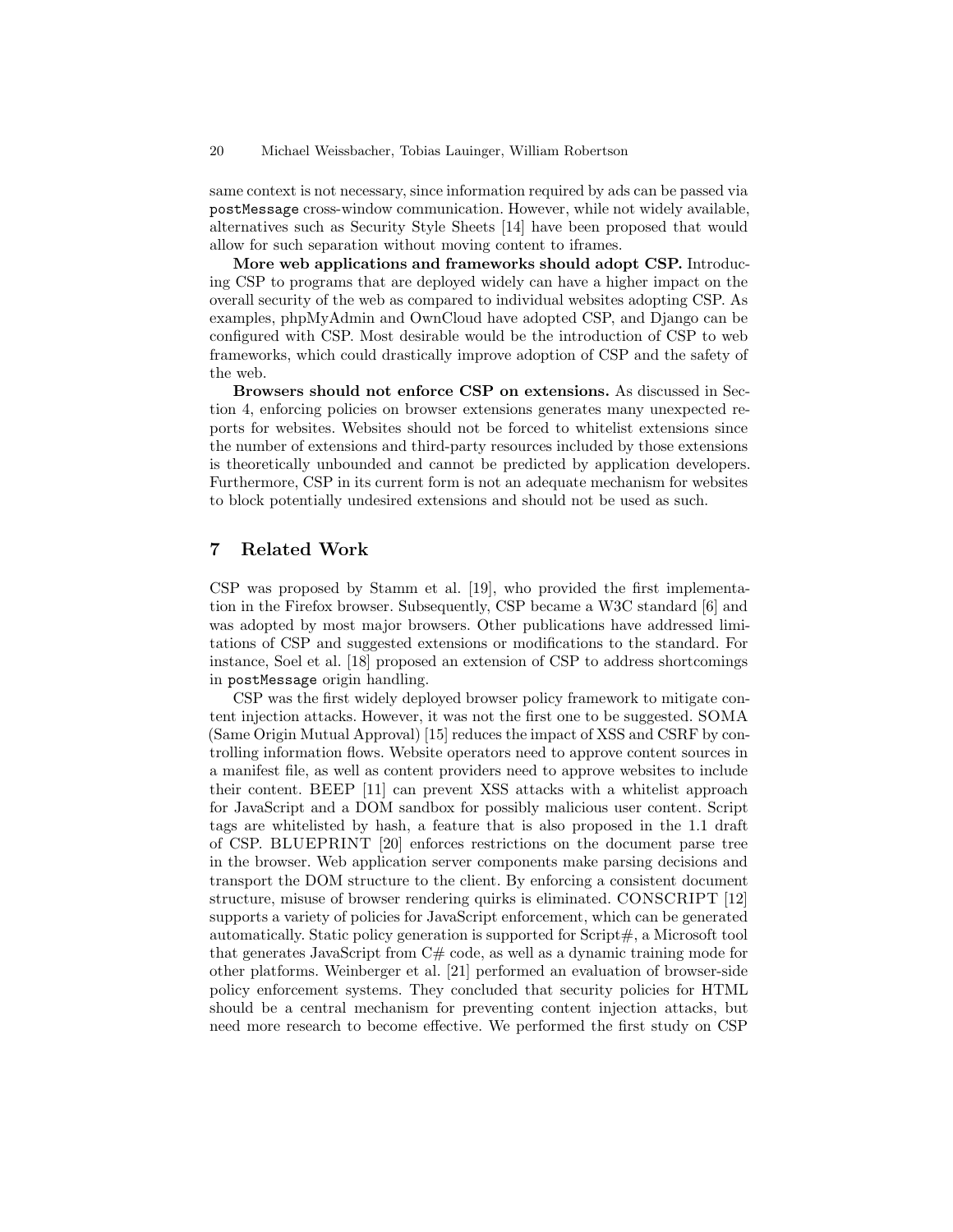same context is not necessary, since information required by ads can be passed via postMessage cross-window communication. However, while not widely available, alternatives such as Security Style Sheets [[14\]](#page-21-13) have been proposed that would allow for such separation without moving content to iframes.

**More web applications and frameworks should adopt CSP.** Introducing CSP to programs that are deployed widely can have a higher impact on the overall security of the web as compared to individual websites adopting CSP. As examples, phpMyAdmin and OwnCloud have adopted CSP, and Django can be configured with CSP. Most desirable would be the introduction of CSP to web frameworks, which could drastically improve adoption of CSP and the safety of the web.

**Browsers should not enforce CSP on extensions.** As discussed in Section [4,](#page-8-1) enforcing policies on browser extensions generates many unexpected reports for websites. Websites should not be forced to whitelist extensions since the number of extensions and third-party resources included by those extensions is theoretically unbounded and cannot be predicted by application developers. Furthermore, CSP in its current form is not an adequate mechanism for websites to block potentially undesired extensions and should not be used as such.

# **7 Related Work**

CSP was proposed by Stamm et al. [[19\]](#page-21-4), who provided the first implementation in the Firefox browser. Subsequently, CSP became a W3C standard [[6\]](#page-21-3) and was adopted by most major browsers. Other publications have addressed limitations of CSP and suggested extensions or modifications to the standard. For instance, Soel et al. [[18\]](#page-21-14) proposed an extension of CSP to address shortcomings in postMessage origin handling.

CSP was the first widely deployed browser policy framework to mitigate content injection attacks. However, it was not the first one to be suggested. SOMA (Same Origin Mutual Approval) [\[15](#page-21-15)] reduces the impact of XSS and CSRF by controlling information flows. Website operators need to approve content sources in a manifest file, as well as content providers need to approve websites to include their content. BEEP [[11\]](#page-21-2) can prevent XSS attacks with a whitelist approach for JavaScript and a DOM sandbox for possibly malicious user content. Script tags are whitelisted by hash, a feature that is also proposed in the 1.1 draft of CSP. BLUEPRINT [\[20](#page-21-16)] enforces restrictions on the document parse tree in the browser. Web application server components make parsing decisions and transport the DOM structure to the client. By enforcing a consistent document structure, misuse of browser rendering quirks is eliminated. CONSCRIPT [[12\]](#page-21-1) supports a variety of policies for JavaScript enforcement, which can be generated automatically. Static policy generation is supported for  $Script\#$ , a Microsoft tool that generates JavaScript from C# code, as well as a dynamic training mode for other platforms. Weinberger et al. [[21\]](#page-21-17) performed an evaluation of browser-side policy enforcement systems. They concluded that security policies for HTML should be a central mechanism for preventing content injection attacks, but need more research to become effective. We performed the first study on CSP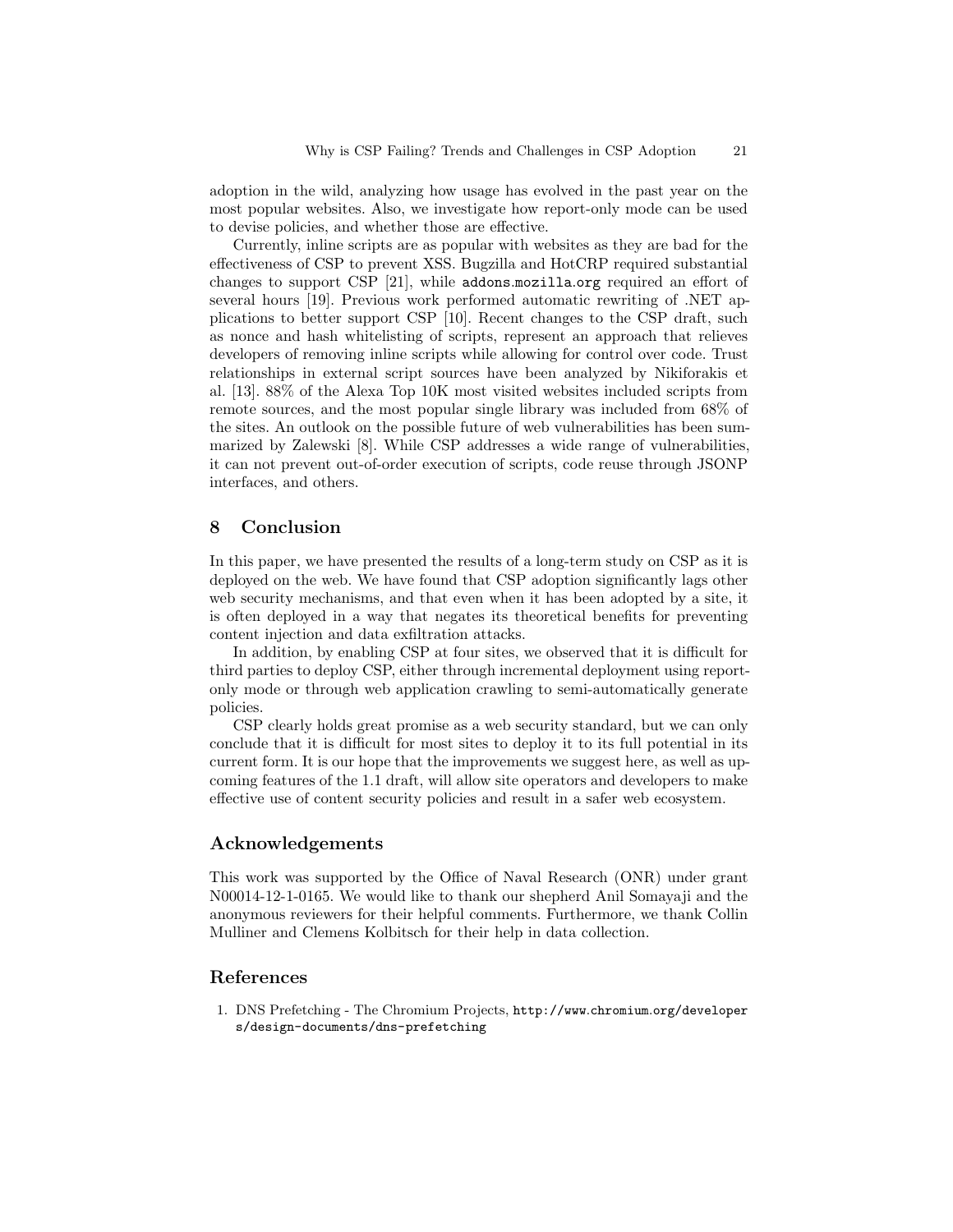adoption in the wild, analyzing how usage has evolved in the past year on the most popular websites. Also, we investigate how report-only mode can be used to devise policies, and whether those are effective.

Currently, inline scripts are as popular with websites as they are bad for the effectiveness of CSP to prevent XSS. Bugzilla and HotCRP required substantial changes to support CSP [\[21](#page-21-17)], while addons*.*[mozilla](addons.mozilla.org)*.*org required an effort of several hours [[19\]](#page-21-4). Previous work performed automatic rewriting of .NET applications to better support CSP [[10\]](#page-21-18). Recent changes to the CSP draft, such as nonce and hash whitelisting of scripts, represent an approach that relieves developers of removing inline scripts while allowing for control over code. Trust relationships in external script sources have been analyzed by Nikiforakis et al. [[13\]](#page-21-19). 88% of the Alexa Top 10K most visited websites included scripts from remote sources, and the most popular single library was included from 68% of the sites. An outlook on the possible future of web vulnerabilities has been summarized by Zalewski [[8](#page-21-5)]. While CSP addresses a wide range of vulnerabilities, it can not prevent out-of-order execution of scripts, code reuse through JSONP interfaces, and others.

# **8 Conclusion**

In this paper, we have presented the results of a long-term study on CSP as it is deployed on the web. We have found that CSP adoption significantly lags other web security mechanisms, and that even when it has been adopted by a site, it is often deployed in a way that negates its theoretical benefits for preventing content injection and data exfiltration attacks.

In addition, by enabling CSP at four sites, we observed that it is difficult for third parties to deploy CSP, either through incremental deployment using reportonly mode or through web application crawling to semi-automatically generate policies.

CSP clearly holds great promise as a web security standard, but we can only conclude that it is difficult for most sites to deploy it to its full potential in its current form. It is our hope that the improvements we suggest here, as well as upcoming features of the 1.1 draft, will allow site operators and developers to make effective use of content security policies and result in a safer web ecosystem.

# **Acknowledgements**

This work was supported by the Office of Naval Research (ONR) under grant N00014-12-1-0165. We would like to thank our shepherd Anil Somayaji and the anonymous reviewers for their helpful comments. Furthermore, we thank Collin Mulliner and Clemens Kolbitsch for their help in data collection.

# **References**

<span id="page-20-0"></span>1. DNS Prefetching - The Chromium Projects, http://www*.*chromium*.*[org/developer](http://www.chromium.org/developers/design-documents/dns-prefetching) [s/design-documents/dns-prefetching](http://www.chromium.org/developers/design-documents/dns-prefetching)